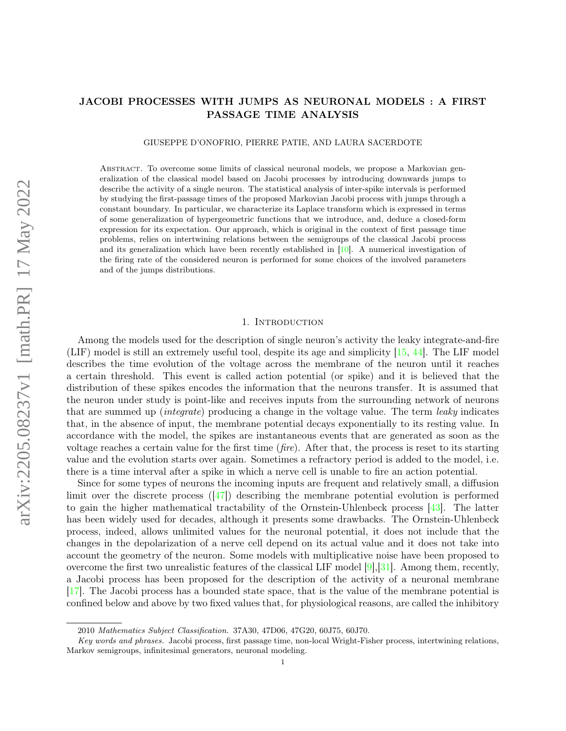# JACOBI PROCESSES WITH JUMPS AS NEURONAL MODELS : A FIRST PASSAGE TIME ANALYSIS

GIUSEPPE D'ONOFRIO, PIERRE PATIE, AND LAURA SACERDOTE

Abstract. To overcome some limits of classical neuronal models, we propose a Markovian generalization of the classical model based on Jacobi processes by introducing downwards jumps to describe the activity of a single neuron. The statistical analysis of inter-spike intervals is performed by studying the first-passage times of the proposed Markovian Jacobi process with jumps through a constant boundary. In particular, we characterize its Laplace transform which is expressed in terms of some generalization of hypergeometric functions that we introduce, and, deduce a closed-form expression for its expectation. Our approach, which is original in the context of first passage time problems, relies on intertwining relations between the semigroups of the classical Jacobi process and its generalization which have been recently established in [\[10\]](#page-18-0). A numerical investigation of the firing rate of the considered neuron is performed for some choices of the involved parameters and of the jumps distributions.

## 1. INTRODUCTION

Among the models used for the description of single neuron's activity the leaky integrate-and-fire (LIF) model is still an extremely useful tool, despite its age and simplicity [\[15,](#page-18-1) [44\]](#page-19-0). The LIF model describes the time evolution of the voltage across the membrane of the neuron until it reaches a certain threshold. This event is called action potential (or spike) and it is believed that the distribution of these spikes encodes the information that the neurons transfer. It is assumed that the neuron under study is point-like and receives inputs from the surrounding network of neurons that are summed up (integrate) producing a change in the voltage value. The term leaky indicates that, in the absence of input, the membrane potential decays exponentially to its resting value. In accordance with the model, the spikes are instantaneous events that are generated as soon as the voltage reaches a certain value for the first time  $(fire)$ . After that, the process is reset to its starting value and the evolution starts over again. Sometimes a refractory period is added to the model, i.e. there is a time interval after a spike in which a nerve cell is unable to fire an action potential.

Since for some types of neurons the incoming inputs are frequent and relatively small, a diffusion limit over the discrete process  $(147)$  describing the membrane potential evolution is performed to gain the higher mathematical tractability of the Ornstein-Uhlenbeck process [\[43\]](#page-19-2). The latter has been widely used for decades, although it presents some drawbacks. The Ornstein-Uhlenbeck process, indeed, allows unlimited values for the neuronal potential, it does not include that the changes in the depolarization of a nerve cell depend on its actual value and it does not take into account the geometry of the neuron. Some models with multiplicative noise have been proposed to overcome the first two unrealistic features of the classical LIF model  $[9], [31]$  $[9], [31]$  $[9], [31]$ . Among them, recently, a Jacobi process has been proposed for the description of the activity of a neuronal membrane [\[17\]](#page-18-3). The Jacobi process has a bounded state space, that is the value of the membrane potential is confined below and above by two fixed values that, for physiological reasons, are called the inhibitory

<sup>2010</sup> Mathematics Subject Classification. 37A30, 47D06, 47G20, 60J75, 60J70.

Key words and phrases. Jacobi process, first passage time, non-local Wright-Fisher process, intertwining relations, Markov semigroups, infinitesimal generators, neuronal modeling.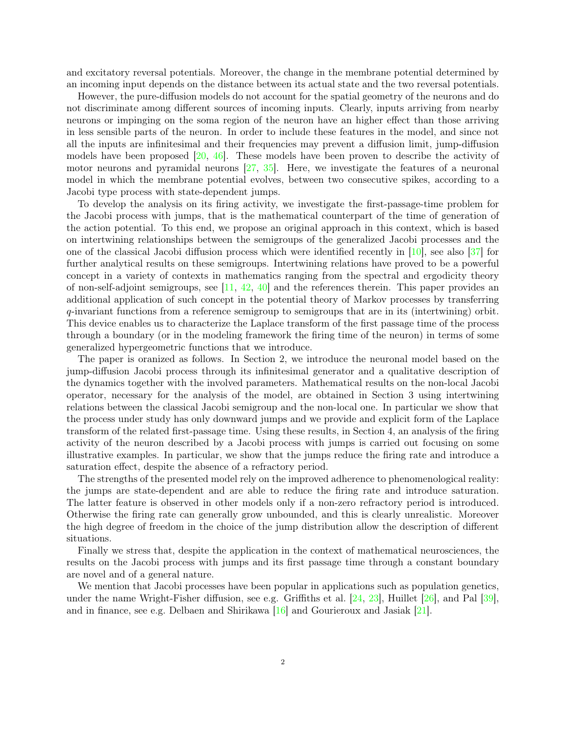and excitatory reversal potentials. Moreover, the change in the membrane potential determined by an incoming input depends on the distance between its actual state and the two reversal potentials.

However, the pure-diffusion models do not account for the spatial geometry of the neurons and do not discriminate among different sources of incoming inputs. Clearly, inputs arriving from nearby neurons or impinging on the soma region of the neuron have an higher effect than those arriving in less sensible parts of the neuron. In order to include these features in the model, and since not all the inputs are infinitesimal and their frequencies may prevent a diffusion limit, jump-diffusion models have been proposed [\[20,](#page-18-4) [46\]](#page-19-4). These models have been proven to describe the activity of motor neurons and pyramidal neurons  $[27, 35]$  $[27, 35]$  $[27, 35]$ . Here, we investigate the features of a neuronal model in which the membrane potential evolves, between two consecutive spikes, according to a Jacobi type process with state-dependent jumps.

To develop the analysis on its firing activity, we investigate the first-passage-time problem for the Jacobi process with jumps, that is the mathematical counterpart of the time of generation of the action potential. To this end, we propose an original approach in this context, which is based on intertwining relationships between the semigroups of the generalized Jacobi processes and the one of the classical Jacobi diffusion process which were identified recently in [\[10\]](#page-18-0), see also [\[37\]](#page-19-6) for further analytical results on these semigroups. Intertwining relations have proved to be a powerful concept in a variety of contexts in mathematics ranging from the spectral and ergodicity theory of non-self-adjoint semigroups, see  $[11, 42, 40]$  $[11, 42, 40]$  $[11, 42, 40]$  $[11, 42, 40]$  $[11, 42, 40]$  and the references therein. This paper provides an additional application of such concept in the potential theory of Markov processes by transferring q-invariant functions from a reference semigroup to semigroups that are in its (intertwining) orbit. This device enables us to characterize the Laplace transform of the first passage time of the process through a boundary (or in the modeling framework the firing time of the neuron) in terms of some generalized hypergeometric functions that we introduce.

The paper is oranized as follows. In Section 2, we introduce the neuronal model based on the jump-diffusion Jacobi process through its infinitesimal generator and a qualitative description of the dynamics together with the involved parameters. Mathematical results on the non-local Jacobi operator, necessary for the analysis of the model, are obtained in Section 3 using intertwining relations between the classical Jacobi semigroup and the non-local one. In particular we show that the process under study has only downward jumps and we provide and explicit form of the Laplace transform of the related first-passage time. Using these results, in Section 4, an analysis of the firing activity of the neuron described by a Jacobi process with jumps is carried out focusing on some illustrative examples. In particular, we show that the jumps reduce the firing rate and introduce a saturation effect, despite the absence of a refractory period.

The strengths of the presented model rely on the improved adherence to phenomenological reality: the jumps are state-dependent and are able to reduce the firing rate and introduce saturation. The latter feature is observed in other models only if a non-zero refractory period is introduced. Otherwise the firing rate can generally grow unbounded, and this is clearly unrealistic. Moreover the high degree of freedom in the choice of the jump distribution allow the description of different situations.

Finally we stress that, despite the application in the context of mathematical neurosciences, the results on the Jacobi process with jumps and its first passage time through a constant boundary are novel and of a general nature.

We mention that Jacobi processes have been popular in applications such as population genetics. under the name Wright-Fisher diffusion, see e.g. Griffiths et al.  $[24, 23]$  $[24, 23]$  $[24, 23]$ , Huillet  $[26]$ , and Pal  $[39]$ , and in finance, see e.g. Delbaen and Shirikawa [\[16\]](#page-18-10) and Gourieroux and Jasiak [\[21\]](#page-18-11).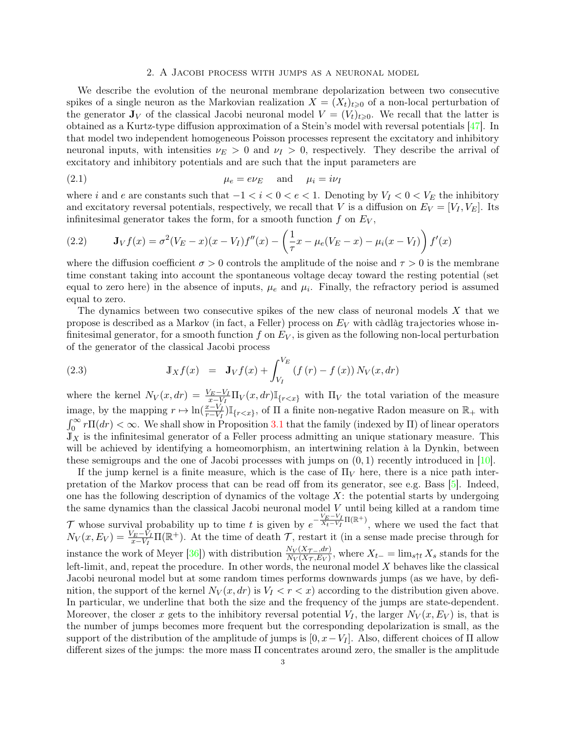## <span id="page-2-1"></span>2. A Jacobi process with jumps as a neuronal model

We describe the evolution of the neuronal membrane depolarization between two consecutive spikes of a single neuron as the Markovian realization  $X = (X_t)_{t\geqslant0}$  of a non-local perturbation of the generator  $J_V$  of the classical Jacobi neuronal model  $V = (V_t)_{t \geq 0}$ . We recall that the latter is obtained as a Kurtz-type diffusion approximation of a Stein's model with reversal potentials [\[47\]](#page-19-1). In that model two independent homogeneous Poisson processes represent the excitatory and inhibitory neuronal inputs, with intensities  $\nu_E > 0$  and  $\nu_I > 0$ , respectively. They describe the arrival of excitatory and inhibitory potentials and are such that the input parameters are

(2.1) 
$$
\mu_e = e \nu_E \quad \text{and} \quad \mu_i = i \nu_I
$$

where i and e are constants such that  $-1 < i < 0 < e < 1$ . Denoting by  $V_I < 0 < V_E$  the inhibitory and excitatory reversal potentials, respectively, we recall that V is a diffusion on  $E_V = [V_I, V_E]$ . Its infinitesimal generator takes the form, for a smooth function  $f$  on  $E_V$ ,

<span id="page-2-2"></span>(2.2) 
$$
\mathbf{J}_V f(x) = \sigma^2 (V_E - x)(x - V_I) f''(x) - \left(\frac{1}{\tau} x - \mu_e (V_E - x) - \mu_i (x - V_I)\right) f'(x)
$$

where the diffusion coefficient  $\sigma > 0$  controls the amplitude of the noise and  $\tau > 0$  is the membrane time constant taking into account the spontaneous voltage decay toward the resting potential (set equal to zero here) in the absence of inputs,  $\mu_e$  and  $\mu_i$ . Finally, the refractory period is assumed equal to zero.

The dynamics between two consecutive spikes of the new class of neuronal models  $X$  that we propose is described as a Markov (in fact, a Feller) process on  $E_V$  with càdlàg trajectories whose infinitesimal generator, for a smooth function  $f$  on  $E_V$ , is given as the following non-local perturbation of the generator of the classical Jacobi process

<span id="page-2-0"></span>(2.3) 
$$
\mathbb{J}_X f(x) = \mathbf{J}_V f(x) + \int_{V_I}^{V_E} (f(r) - f(x)) N_V(x, dr)
$$

where the kernel  $N_V(x, dr) = \frac{V_E - V_I}{x - V_I} \Pi_V(x, dr) \mathbb{I}_{\{r < x\}}$  with  $\Pi_V$  the total variation of the measure image, by the mapping  $r \mapsto \ln(\frac{x-V_I}{r-V_I})\mathbb{I}_{\{r\leq x\}}$ , of  $\Pi$  a finite non-negative Radon measure on  $\mathbb{R}_+$  with  $\int_0^\infty r \Pi(dr) < \infty$ . We shall show in Proposition [3.1](#page-5-0) that the family (indexed by  $\Pi$ ) of linear operators  $J_X$  is the infinitesimal generator of a Feller process admitting an unique stationary measure. This will be achieved by identifying a homeomorphism, an intertwining relation à la Dynkin, between these semigroups and the one of Jacobi processes with jumps on  $(0, 1)$  recently introduced in [\[10\]](#page-18-0).

If the jump kernel is a finite measure, which is the case of  $\Pi_V$  here, there is a nice path interpretation of the Markov process that can be read off from its generator, see e.g. Bass [\[5\]](#page-18-12). Indeed, one has the following description of dynamics of the voltage  $X$ : the potential starts by undergoing the same dynamics than the classical Jacobi neuronal model  $V$  until being killed at a random time T whose survival probability up to time t is given by  $e^{-\frac{V_E-V_I}{X_t-V_I}\Pi(\mathbb{R}^+)}$ , where we used the fact that  $N_V(x, E_V) = \frac{V_E - V_I}{x - V_I} \Pi(\mathbb{R}^+)$ . At the time of death  $\mathcal{T}$ , restart it (in a sense made precise through for instance the work of Meyer [\[36\]](#page-19-10)) with distribution  $\frac{N_V(X_{\mathcal{T}-,dr})}{N_V(X_{\mathcal{T}},E_V)}$ , where  $X_{t-} = \lim_{s \uparrow t} X_s$  stands for the left-limit, and, repeat the procedure. In other words, the neuronal model  $X$  behaves like the classical Jacobi neuronal model but at some random times performs downwards jumps (as we have, by definition, the support of the kernel  $N_V(x, dr)$  is  $V_I < r < x$ ) according to the distribution given above. In particular, we underline that both the size and the frequency of the jumps are state-dependent. Moreover, the closer x gets to the inhibitory reversal potential  $V_I$ , the larger  $N_V(x, E_V)$  is, that is the number of jumps becomes more frequent but the corresponding depolarization is small, as the support of the distribution of the amplitude of jumps is  $[0, x-V_I]$ . Also, different choices of  $\Pi$  allow different sizes of the jumps: the more mass Π concentrates around zero, the smaller is the amplitude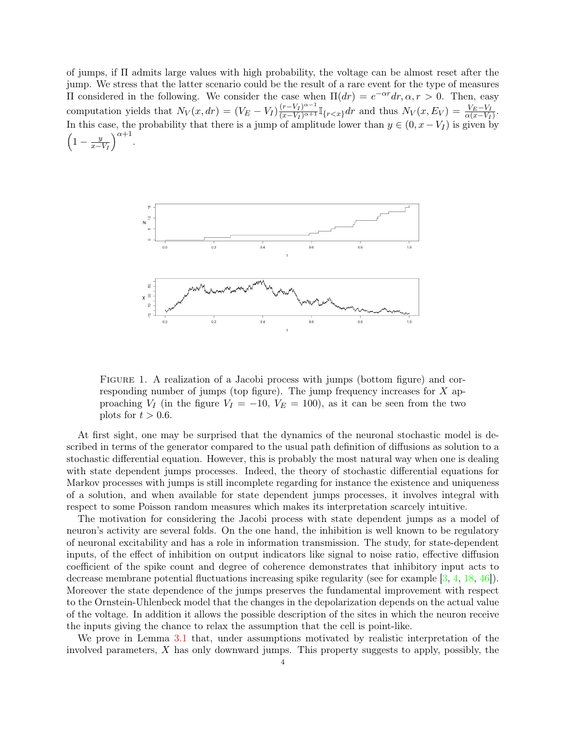of jumps, if Π admits large values with high probability, the voltage can be almost reset after the jump. We stress that the latter scenario could be the result of a rare event for the type of measures II considered in the following. We consider the case when  $\Pi(dr) = e^{-\alpha r} dr$ ,  $\alpha$ ,  $r > 0$ . Then, easy computation yields that  $N_V(x, dr) = (V_E - V_I) \frac{(r - V_I)^{\alpha - 1}}{(x - V_I)^{\alpha + 1}} \mathbb{I}_{\{r < x\}} dr$  and thus  $N_V(x, E_V) = \frac{V_E - V_I}{\alpha (x - V_I)}$ . In this case, the probability that there is a jump of amplitude lower than  $y \in (0, x - V_I)$  is given by  $\left(1-\frac{y}{x-}\right)$  $x-V_I$  $\big)^{\alpha+1}$ .



Figure 1. A realization of a Jacobi process with jumps (bottom figure) and corresponding number of jumps (top figure). The jump frequency increases for X approaching  $V_I$  (in the figure  $V_I = -10$ ,  $V_E = 100$ ), as it can be seen from the two plots for  $t > 0.6$ .

At first sight, one may be surprised that the dynamics of the neuronal stochastic model is described in terms of the generator compared to the usual path definition of diffusions as solution to a stochastic differential equation. However, this is probably the most natural way when one is dealing with state dependent jumps processes. Indeed, the theory of stochastic differential equations for Markov processes with jumps is still incomplete regarding for instance the existence and uniqueness of a solution, and when available for state dependent jumps processes, it involves integral with respect to some Poisson random measures which makes its interpretation scarcely intuitive.

The motivation for considering the Jacobi process with state dependent jumps as a model of neuron's activity are several folds. On the one hand, the inhibition is well known to be regulatory of neuronal excitability and has a role in information transmission. The study, for state-dependent inputs, of the effect of inhibition on output indicators like signal to noise ratio, effective diffusion coefficient of the spike count and degree of coherence demonstrates that inhibitory input acts to decrease membrane potential fluctuations increasing spike regularity (see for example [\[3,](#page-18-13) [4,](#page-18-14) [18,](#page-18-15) [46\]](#page-19-4)). Moreover the state dependence of the jumps preserves the fundamental improvement with respect to the Ornstein-Uhlenbeck model that the changes in the depolarization depends on the actual value of the voltage. In addition it allows the possible description of the sites in which the neuron receive the inputs giving the chance to relax the assumption that the cell is point-like.

We prove in Lemma [3.1](#page-7-0) that, under assumptions motivated by realistic interpretation of the involved parameters,  $X$  has only downward jumps. This property suggests to apply, possibly, the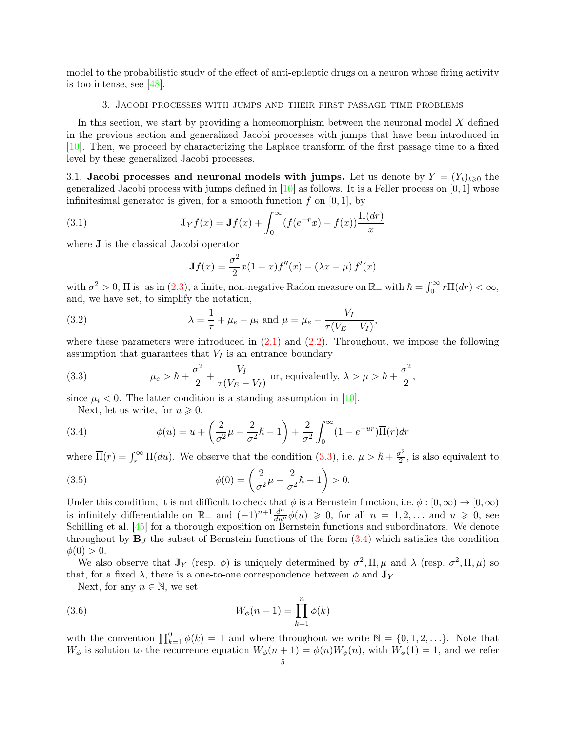model to the probabilistic study of the effect of anti-epileptic drugs on a neuron whose firing activity is too intense, see  $|48|$ .

### 3. Jacobi processes with jumps and their first passage time problems

<span id="page-4-4"></span>In this section, we start by providing a homeomorphism between the neuronal model  $X$  defined in the previous section and generalized Jacobi processes with jumps that have been introduced in [\[10\]](#page-18-0). Then, we proceed by characterizing the Laplace transform of the first passage time to a fixed level by these generalized Jacobi processes.

3.1. Jacobi processes and neuronal models with jumps. Let us denote by  $Y = (Y_t)_{t\geq0}$  the generalized Jacobi process with jumps defined in  $[10]$  as follows. It is a Feller process on  $[0, 1]$  whose infinitesimal generator is given, for a smooth function  $f$  on [0, 1], by

(3.1) 
$$
\mathbb{J}_Y f(x) = \mathbf{J} f(x) + \int_0^\infty (f(e^{-r}x) - f(x)) \frac{\Pi(dr)}{x}
$$

where J is the classical Jacobi operator

<span id="page-4-3"></span><span id="page-4-2"></span>
$$
\mathbf{J}f(x) = \frac{\sigma^2}{2}x(1-x)f''(x) - (\lambda x - \mu)f'(x)
$$

with  $\sigma^2 > 0$ ,  $\Pi$  is, as in [\(2.3\)](#page-2-0), a finite, non-negative Radon measure on  $\mathbb{R}_+$  with  $\hbar = \int_0^\infty r \Pi(dr) < \infty$ , and, we have set, to simplify the notation,

(3.2) 
$$
\lambda = \frac{1}{\tau} + \mu_e - \mu_i \text{ and } \mu = \mu_e - \frac{V_I}{\tau(V_E - V_I)},
$$

where these parameters were introduced in  $(2.1)$  and  $(2.2)$ . Throughout, we impose the following assumption that guarantees that  $V_I$  is an entrance boundary

(3.3) 
$$
\mu_e > \hbar + \frac{\sigma^2}{2} + \frac{V_I}{\tau(V_E - V_I)}
$$
 or, equivalently,  $\lambda > \mu > \hbar + \frac{\sigma^2}{2}$ ,

since  $\mu_i < 0$ . The latter condition is a standing assumption in [\[10\]](#page-18-0).

<span id="page-4-1"></span><span id="page-4-0"></span>Next, let us write, for  $u \geq 0$ ,

(3.4) 
$$
\phi(u) = u + \left(\frac{2}{\sigma^2}\mu - \frac{2}{\sigma^2}\hbar - 1\right) + \frac{2}{\sigma^2}\int_0^\infty (1 - e^{-ur})\overline{\Pi}(r)dr
$$

where  $\overline{\Pi}(r) = \int_r^{\infty} \Pi(du)$ . We observe that the condition [\(3.3\)](#page-4-0), i.e.  $\mu > \hbar + \frac{\sigma^2}{2}$  $\frac{\sigma^2}{2}$ , is also equivalent to

<span id="page-4-5"></span>(3.5) 
$$
\phi(0) = \left(\frac{2}{\sigma^2}\mu - \frac{2}{\sigma^2}\hbar - 1\right) > 0.
$$

Under this condition, it is not difficult to check that  $\phi$  is a Bernstein function, i.e.  $\phi : [0, \infty) \to [0, \infty)$ is infinitely differentiable on  $\mathbb{R}_+$  and  $(-1)^{n+1} \frac{d^n}{du^n} \phi(u) \geq 0$ , for all  $n = 1, 2, \ldots$  and  $u \geq 0$ , see Schilling et al. [\[45\]](#page-19-12) for a thorough exposition on Bernstein functions and subordinators. We denote throughout by  $\mathbf{B}_J$  the subset of Bernstein functions of the form [\(3.4\)](#page-4-1) which satisfies the condition  $\phi(0) > 0.$ 

We also observe that  $J_Y$  (resp.  $\phi$ ) is uniquely determined by  $\sigma^2$ ,  $\Pi$ ,  $\mu$  and  $\lambda$  (resp.  $\sigma^2$ ,  $\Pi$ ,  $\mu$ ) so that, for a fixed  $\lambda$ , there is a one-to-one correspondence between  $\phi$  and  $\mathbb{J}_Y$ .

Next, for any  $n \in \mathbb{N}$ , we set

(3.6) 
$$
W_{\phi}(n+1) = \prod_{k=1}^{n} \phi(k)
$$

with the convention  $\prod_{k=1}^{0} \phi(k) = 1$  and where throughout we write  $\mathbb{N} = \{0, 1, 2, \ldots\}$ . Note that  $W_{\phi}$  is solution to the recurrence equation  $W_{\phi}(n+1) = \phi(n)W_{\phi}(n)$ , with  $W_{\phi}(1) = 1$ , and we refer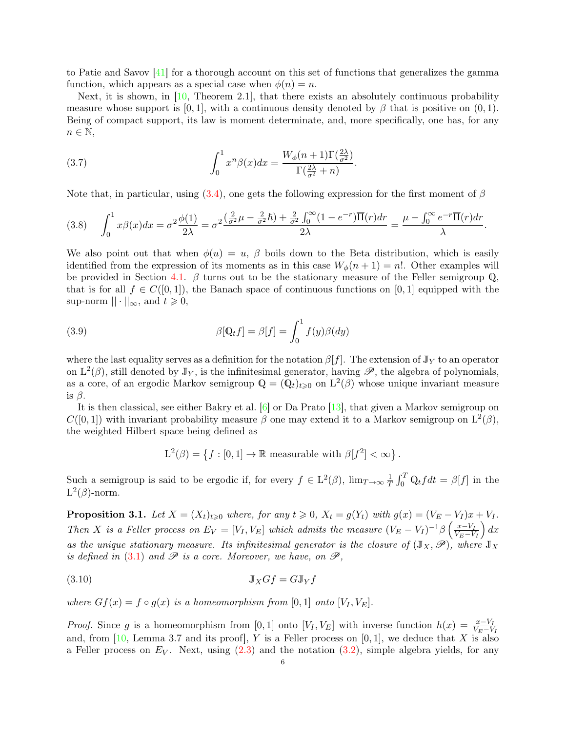to Patie and Savov [\[41\]](#page-19-13) for a thorough account on this set of functions that generalizes the gamma function, which appears as a special case when  $\phi(n) = n$ .

Next, it is shown, in [\[10,](#page-18-0) Theorem 2.1], that there exists an absolutely continuous probability measure whose support is [0, 1], with a continuous density denoted by  $\beta$  that is positive on (0, 1). Being of compact support, its law is moment determinate, and, more specifically, one has, for any  $n \in \mathbb{N}$ ,

<span id="page-5-3"></span>(3.7) 
$$
\int_0^1 x^n \beta(x) dx = \frac{W_\phi(n+1)\Gamma(\frac{2\lambda}{\sigma^2})}{\Gamma(\frac{2\lambda}{\sigma^2}+n)}.
$$

Note that, in particular, using  $(3.4)$ , one gets the following expression for the first moment of  $\beta$ 

<span id="page-5-2"></span>
$$
(3.8)\qquad \int_0^1 x\beta(x)dx = \sigma^2 \frac{\phi(1)}{2\lambda} = \sigma^2 \frac{\left(\frac{2}{\sigma^2}\mu - \frac{2}{\sigma^2}\hbar\right) + \frac{2}{\sigma^2}\int_0^\infty (1 - e^{-r})\overline{\Pi}(r)dr}{2\lambda} = \frac{\mu - \int_0^\infty e^{-r}\overline{\Pi}(r)dr}{\lambda}.
$$

We also point out that when  $\phi(u) = u$ ,  $\beta$  boils down to the Beta distribution, which is easily identified from the expression of its moments as in this case  $W_{\phi}(n+1) = n!$ . Other examples will be provided in Section [4.1.](#page-12-0)  $\beta$  turns out to be the stationary measure of the Feller semigroup Q. that is for all  $f \in C([0,1])$ , the Banach space of continuous functions on [0, 1] equipped with the sup-norm  $|| \cdot ||_{\infty}$ , and  $t \geq 0$ ,

(3.9) 
$$
\beta[\mathbb{Q}_t f] = \beta[f] = \int_0^1 f(y)\beta(dy)
$$

where the last equality serves as a definition for the notation  $\beta[f]$ . The extension of  $J_Y$  to an operator on  $L^2(\beta)$ , still denoted by  $J_Y$ , is the infinitesimal generator, having  $\mathscr{P}$ , the algebra of polynomials, as a core, of an ergodic Markov semigroup  $\mathbb{Q} = (\mathbb{Q}_t)_{t \geq 0}$  on  $L^2(\beta)$  whose unique invariant measure is  $\beta$ .

It is then classical, see either Bakry et al. [\[6\]](#page-18-16) or Da Prato [\[13\]](#page-18-17), that given a Markov semigroup on  $C([0,1])$  with invariant probability measure  $\beta$  one may extend it to a Markov semigroup on  $L^2(\beta)$ , the weighted Hilbert space being defined as

<span id="page-5-1"></span>
$$
L^{2}(\beta) = \{ f : [0,1] \to \mathbb{R} \text{ measurable with } \beta[f^{2}] < \infty \}.
$$

Such a semigroup is said to be ergodic if, for every  $f \in L^2(\beta)$ ,  $\lim_{T \to \infty} \frac{1}{T}$  $\frac{1}{T} \int_0^T \mathbb{Q}_t f dt = \beta[f]$  in the  $L^2(\beta)$ -norm.

<span id="page-5-0"></span>**Proposition 3.1.** Let  $X = (X_t)_{t \geq 0}$  where, for any  $t \geq 0$ ,  $X_t = g(Y_t)$  with  $g(x) = (V_E - V_I)x + V_I$ . Then X is a Feller process on  $E_V = [V_I, V_E]$  which admits the measure  $(V_E - V_I)^{-1}\beta\left(\frac{x-V_I}{V_E - V_I}\right)$  $V_E-V_I$  $\big) dx$ as the unique stationary measure. Its infinitesimal generator is the closure of  $(\mathbb{J}_X,\mathscr{P})$ , where  $\mathbb{J}_X$ is defined in  $(3.1)$  and  $\mathscr P$  is a core. Moreover, we have, on  $\mathscr P$ ,

$$
\mathbb{J}_X G f = G \mathbb{J}_Y f
$$

where  $Gf(x) = f \circ g(x)$  is a homeomorphism from [0, 1] onto  $[V_I, V_E]$ .

*Proof.* Since g is a homeomorphism from [0, 1] onto [V<sub>I</sub>, V<sub>E</sub>] with inverse function  $h(x) = \frac{x-V_I}{V_E-V_I}$ and, from  $[10, \text{Lemma 3.7 and its proof}]$  $[10, \text{Lemma 3.7 and its proof}]$ , Y is a Feller process on  $[0, 1]$ , we deduce that X is also a Feller process on  $E_V$ . Next, using  $(2.3)$  and the notation  $(3.2)$ , simple algebra yields, for any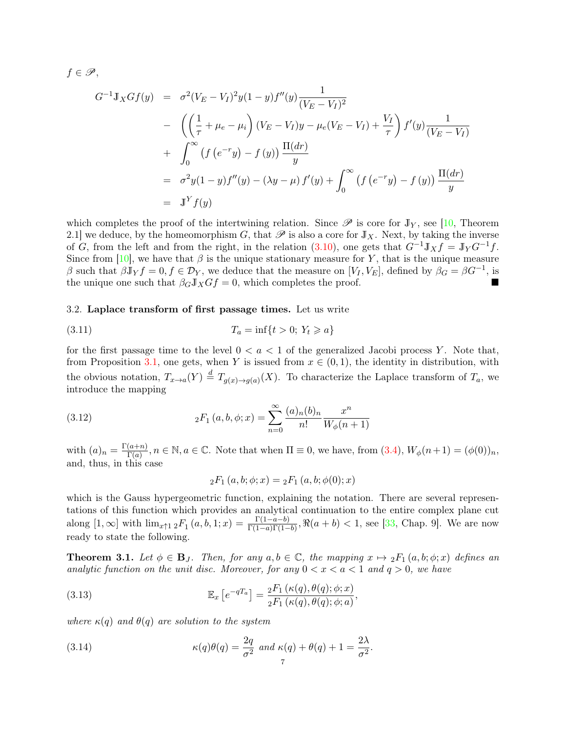$f \in \mathscr{P},$ 

$$
G^{-1} \mathbb{J}_X G f(y) = \sigma^2 (V_E - V_I)^2 y (1 - y) f''(y) \frac{1}{(V_E - V_I)^2}
$$
  
- 
$$
\left( \left( \frac{1}{\tau} + \mu_e - \mu_i \right) (V_E - V_I) y - \mu_e (V_E - V_I) + \frac{V_I}{\tau} \right) f'(y) \frac{1}{(V_E - V_I)}
$$
  
+ 
$$
\int_0^\infty (f(e^{-r}y) - f(y)) \frac{\Pi(dr)}{y}
$$
  
= 
$$
\sigma^2 y (1 - y) f''(y) - (\lambda y - \mu) f'(y) + \int_0^\infty (f(e^{-r}y) - f(y)) \frac{\Pi(dr)}{y}
$$
  
= 
$$
\mathbb{J}^Y f(y)
$$

which completes the proof of the intertwining relation. Since  $\mathscr P$  is core for  $\mathbb J_Y$ , see [\[10,](#page-18-0) Theorem 2.1] we deduce, by the homeomorphism G, that  $\mathscr P$  is also a core for  $J_X$ . Next, by taking the inverse of G, from the left and from the right, in the relation  $(3.10)$ , one gets that  $G^{-1}J_Xf = J_Y G^{-1}f$ . Since from [\[10\]](#page-18-0), we have that  $\beta$  is the unique stationary measure for Y, that is the unique measure β such that  $\beta \mathbf{J}_Y f = 0, f \in \mathcal{D}_Y$ , we deduce that the measure on  $[V_I, V_E]$ , defined by  $\beta_G = \beta G^{-1}$ , is the unique one such that  $\beta_G J_X G f = 0$ , which completes the proof.

## 3.2. Laplace transform of first passage times. Let us write

(3.11) 
$$
T_a = \inf\{t > 0; Y_t \ge a\}
$$

for the first passage time to the level  $0 < a < 1$  of the generalized Jacobi process Y. Note that, from Proposition [3.1,](#page-5-0) one gets, when Y is issued from  $x \in (0,1)$ , the identity in distribution, with the obvious notation,  $T_{x\to a}(Y) \stackrel{d}{=} T_{g(x)\to g(a)}(X)$ . To characterize the Laplace transform of  $T_a$ , we introduce the mapping

(3.12) 
$$
{}_2F_1(a,b,\phi;x) = \sum_{n=0}^{\infty} \frac{(a)_n(b)_n}{n!} \frac{x^n}{W_{\phi}(n+1)}
$$

with  $(a)_n = \frac{\Gamma(a+n)}{\Gamma(a)}$  $\frac{(a+n)}{\Gamma(a)}$ ,  $n \in \mathbb{N}$ ,  $a \in \mathbb{C}$ . Note that when  $\Pi \equiv 0$ , we have, from  $(3.4)$ ,  $W_{\phi}(n+1) = (\phi(0))_n$ , and, thus, in this case

<span id="page-6-1"></span>
$$
{}_2F_1(a, b; \phi; x) = {}_2F_1(a, b; \phi(0); x)
$$

which is the Gauss hypergeometric function, explaining the notation. There are several representations of this function which provides an analytical continuation to the entire complex plane cut along  $[1, \infty]$  with  $\lim_{x \uparrow 1} {}_2F_1(a, b, 1; x) = \frac{\Gamma(1-a-b)}{\Gamma(1-a)\Gamma(1-b)}$ ,  $\Re(a+b) < 1$ , see [\[33,](#page-19-14) Chap. 9]. We are now ready to state the following.

<span id="page-6-0"></span>**Theorem 3.1.** Let  $\phi \in \mathbf{B}_J$ . Then, for any  $a, b \in \mathbb{C}$ , the mapping  $x \mapsto {}_2F_1(a, b; \phi; x)$  defines an analytic function on the unit disc. Moreover, for any  $0 < x < a < 1$  and  $q > 0$ , we have

(3.13) 
$$
\mathbb{E}_x \left[ e^{-qT_a} \right] = \frac{{}_2F_1 \left( \kappa(q), \theta(q); \phi; x \right)}{{}_2F_1 \left( \kappa(q), \theta(q); \phi; a \right)},
$$

where  $\kappa(q)$  and  $\theta(q)$  are solution to the system

<span id="page-6-2"></span>(3.14) 
$$
\kappa(q)\theta(q) = \frac{2q}{\sigma^2} \text{ and } \kappa(q) + \theta(q) + 1 = \frac{2\lambda}{\sigma^2}.
$$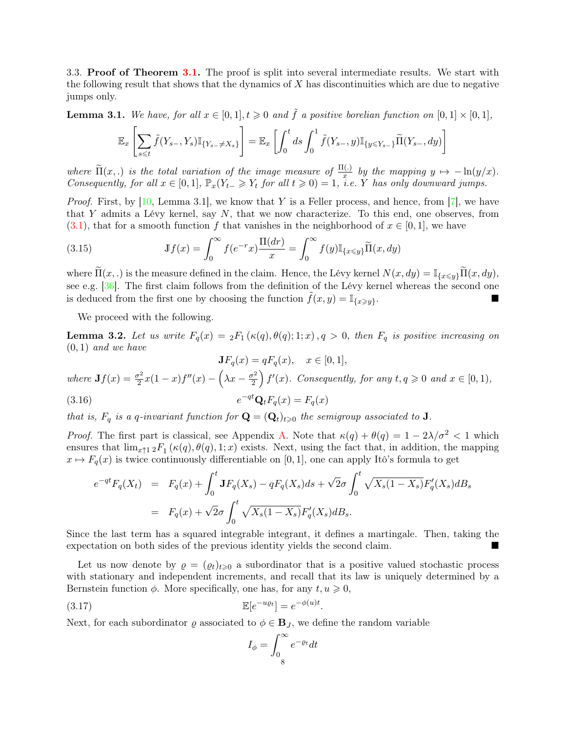3.3. Proof of Theorem [3.1.](#page-6-0) The proof is split into several intermediate results. We start with the following result that shows that the dynamics of  $X$  has discontinuities which are due to negative jumps only.

<span id="page-7-0"></span>**Lemma 3.1.** We have, for all  $x \in [0, 1], t \geq 0$  and  $\tilde{f}$  a positive borelian function on  $[0, 1] \times [0, 1]$ ,

$$
\mathbb{E}_x \left[ \sum_{s \leq t} \tilde{f}(Y_{s-}, Y_s) \mathbb{I}_{\{Y_{s-} \neq X_s\}} \right] = \mathbb{E}_x \left[ \int_0^t ds \int_0^1 \tilde{f}(Y_{s-}, y) \mathbb{I}_{\{y \leq Y_{s-}\}} \widetilde{\Pi}(Y_{s-}, dy) \right]
$$

where  $\widetilde{\Pi}(x, \cdot)$  is the total variation of the image measure of  $\frac{\Pi(\cdot)}{x}$  by the mapping  $y \mapsto -\ln(y/x)$ . Consequently, for all  $x \in [0,1]$ ,  $\mathbb{P}_x(Y_{t-} \geq Y_t$  for all  $t \geq 0) = 1$ , i.e. Y has only downward jumps.

*Proof.* First, by [\[10,](#page-18-0) Lemma 3.1], we know that Y is a Feller process, and hence, from [\[7\]](#page-18-18), we have that Y admits a Lévy kernel, say  $N$ , that we now characterize. To this end, one observes, from [\(3.1\)](#page-4-2), that for a smooth function f that vanishes in the neighborhood of  $x \in [0, 1]$ , we have

(3.15) 
$$
\mathbb{J}f(x) = \int_0^\infty f(e^{-r}x) \frac{\Pi(dr)}{x} = \int_0^\infty f(y) \mathbb{I}_{\{x \le y\}} \widetilde{\Pi}(x, dy)
$$

where  $\widetilde{\Pi}(x,.)$  is the measure defined in the claim. Hence, the Lévy kernel  $N(x, dy) = \mathbb{I}_{\{x \leq y\}} \widetilde{\Pi}(x, dy),$ see e.g. [\[36\]](#page-19-10). The first claim follows from the definition of the Lévy kernel whereas the second one is deduced from the first one by choosing the function  $f(x, y) = \mathbb{I}_{\{x \geq y\}}$ . .

We proceed with the following.

**Lemma 3.2.** Let us write  $F_q(x) = {}_2F_1(\kappa(q), \theta(q); 1; x)$ ,  $q > 0$ , then  $F_q$  is positive increasing on  $(0, 1)$  and we have

 $JF_q(x) = qF_q(x), \quad x \in [0,1],$ where  $\mathbf{J}f(x) = \frac{\sigma^2}{2}$  $\frac{\sigma^2}{2}x(1-x)f''(x) - \left(\lambda x - \frac{\sigma^2}{2}\right)$  $\left(\frac{r^2}{2}\right) f'(x)$ . Consequently, for any  $t, q \geqslant 0$  and  $x \in [0, 1)$ ,  $(3.16)$  $e^{-qt}$ **Q**<sub>t</sub> $F_q(x) = F_q(x)$ 

that is,  $F_q$  is a q-invariant function for  $\mathbf{Q} = (\mathbf{Q}_t)_{t \geq 0}$  the semigroup associated to **J**.

*Proof.* The first part is classical, see Appendix [A.](#page-16-0) Note that  $\kappa(q) + \theta(q) = 1 - 2\lambda/\sigma^2 < 1$  which ensures that  $\lim_{x \uparrow 1} {}_2F_1(\kappa(q), \theta(q), 1; x)$  exists. Next, using the fact that, in addition, the mapping  $x \mapsto F_q(x)$  is twice continuously differentiable on [0, 1], one can apply Itô's formula to get

<span id="page-7-1"></span>
$$
e^{-qt}F_q(X_t) = F_q(x) + \int_0^t \mathbf{J}F_q(X_s) - qF_q(X_s)ds + \sqrt{2}\sigma \int_0^t \sqrt{X_s(1 - X_s)}F_q'(X_s)dB_s
$$
  
=  $F_q(x) + \sqrt{2}\sigma \int_0^t \sqrt{X_s(1 - X_s)}F_q'(X_s)dB_s.$ 

Since the last term has a squared integrable integrant, it defines a martingale. Then, taking the expectation on both sides of the previous identity yields the second claim.

Let us now denote by  $\rho = (\rho_t)_{t\geq 0}$  a subordinator that is a positive valued stochastic process with stationary and independent increments, and recall that its law is uniquely determined by a Bernstein function  $\phi$ . More specifically, one has, for any  $t, u \geqslant 0$ ,

$$
\mathbb{E}[e^{-u\varrho_t}] = e^{-\phi(u)t}.
$$

Next, for each subordinator  $\varrho$  associated to  $\phi \in \mathbf{B}_J$ , we define the random variable

$$
I_{\phi} = \int_{0}^{\infty} e^{-\varrho t} dt
$$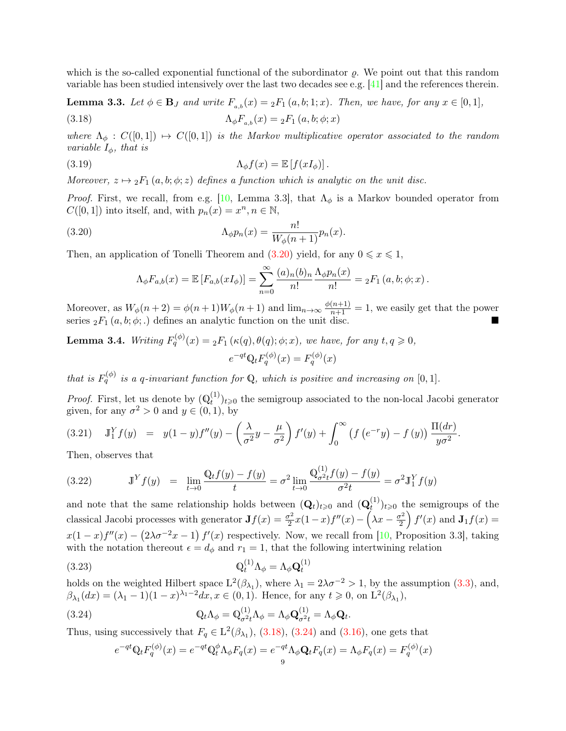which is the so-called exponential functional of the subordinator  $\rho$ . We point out that this random variable has been studied intensively over the last two decades see e.g. [\[41\]](#page-19-13) and the references therein.

**Lemma 3.3.** Let  $\phi \in \mathbf{B}_J$  and write  $F_{a,b}(x) = {}_2F_1(a,b;1;x)$ . Then, we have, for any  $x \in [0,1]$ ,

<span id="page-8-1"></span>(3.18)  $\Lambda_{\phi}F_{a,b}(x) = {}_{2}F_{1}(a,b;\phi;x)$ 

where  $\Lambda_{\phi}: C([0,1]) \mapsto C([0,1])$  is the Markov multiplicative operator associated to the random variable  $I_{\phi}$ , that is

(3.19) 
$$
\Lambda_{\phi} f(x) = \mathbb{E} [f(xI_{\phi})].
$$

Moreover,  $z \mapsto {}_2F_1(a, b; \phi; z)$  defines a function which is analytic on the unit disc.

*Proof.* First, we recall, from e.g. [\[10,](#page-18-0) Lemma 3.3], that  $\Lambda_{\phi}$  is a Markov bounded operator from  $C([0, 1])$  into itself, and, with  $p_n(x) = x^n, n \in \mathbb{N}$ ,

(3.20) 
$$
\Lambda_{\phi}p_n(x) = \frac{n!}{W_{\phi}(n+1)}p_n(x).
$$

Then, an application of Tonelli Theorem and [\(3.20\)](#page-8-0) yield, for any  $0 \le x \le 1$ ,

<span id="page-8-0"></span>
$$
\Lambda_{\phi}F_{a,b}(x) = \mathbb{E}\left[F_{a,b}(xI_{\phi})\right] = \sum_{n=0}^{\infty} \frac{(a)_n(b)_n}{n!} \frac{\Lambda_{\phi}p_n(x)}{n!} = {}_2F_1(a,b;\phi;x).
$$

Moreover, as  $W_{\phi}(n+2) = \phi(n+1)W_{\phi}(n+1)$  and  $\lim_{n\to\infty} \frac{\phi(n+1)}{n+1} = 1$ , we easily get that the power series  ${}_2F_1(a, b; \phi; .)$  defines an analytic function on the unit disc.

**Lemma 3.4.** Writing  $F_q^{(\phi)}(x) = {}_2F_1(\kappa(q), \theta(q); \phi; x)$ , we have, for any  $t, q \geqslant 0$ ,  $e^{-qt}Q_t F_q^{(\phi)}(x) = F_q^{(\phi)}(x)$ 

that is  $F_q^{(\phi)}$  is a q-invariant function for Q, which is positive and increasing on [0, 1].

*Proof.* First, let us denote by  $(\mathbb{Q}_t^{(1)})$  $(t^{(1)})_{t\geqslant0}$  the semigroup associated to the non-local Jacobi generator given, for any  $\sigma^2 > 0$  and  $y \in (0, 1)$ , by

$$
(3.21) \quad J_1^Y f(y) = y(1-y)f''(y) - \left(\frac{\lambda}{\sigma^2}y - \frac{\mu}{\sigma^2}\right)f'(y) + \int_0^\infty \left(f\left(e^{-r}y\right) - f\left(y\right)\right)\frac{\Pi(dr)}{y\sigma^2}.
$$

Then, observes that

(3.22) 
$$
\mathbb{J}^Y f(y) = \lim_{t \to 0} \frac{\mathbb{Q}_t f(y) - f(y)}{t} = \sigma^2 \lim_{t \to 0} \frac{\mathbb{Q}_{\sigma^2 t}^{(1)} f(y) - f(y)}{\sigma^2 t} = \sigma^2 \mathbb{J}_1^Y f(y)
$$

and note that the same relationship holds between  $(Q_t)_{t\geqslant0}$  and  $(Q_t^{(1)})$  $(t^{(1)})_{t\geqslant 0}$  the semigroups of the classical Jacobi processes with generator  $\mathbf{J}f(x) = \frac{\sigma^2}{2}$  $\frac{\sigma^2}{2}x(1-x)f''(x) - \left(\lambda x - \frac{\sigma^2}{2}\right)$  $\left(\frac{r^2}{2}\right) f'(x)$  and  $\mathbf{J}_1 f(x) =$  $x(1-x)f''(x) - (2\lambda\sigma^{-2}x - 1) f'(x)$  respectively. Now, we recall from [\[10,](#page-18-0) Proposition 3.3], taking with the notation thereout  $\epsilon = d_{\phi}$  and  $r_1 = 1$ , that the following intertwining relation

(3.23) 
$$
\mathbb{Q}_t^{(1)} \Lambda_\phi = \Lambda_\phi \mathbb{Q}_t^{(1)}
$$

holds on the weighted Hilbert space  $L^2(\beta_{\lambda_1})$ , where  $\lambda_1 = 2\lambda\sigma^{-2} > 1$ , by the assumption [\(3.3\)](#page-4-0), and,  $\beta_{\lambda_1}(dx) = (\lambda_1 - 1)(1 - x)^{\lambda_1 - 2} dx, x \in (0, 1)$ . Hence, for any  $t \ge 0$ , on  $L^2(\beta_{\lambda_1}),$ 

(3.24) 
$$
\mathbb{Q}_t \Lambda_{\phi} = \mathbb{Q}^{(1)}_{\sigma^2 t} \Lambda_{\phi} = \Lambda_{\phi} \mathbb{Q}^{(1)}_{\sigma^2 t} = \Lambda_{\phi} \mathbb{Q}_t.
$$

Thus, using successively that  $F_q \in L^2(\beta_{\lambda_1})$ , [\(3.18\)](#page-8-1), [\(3.24\)](#page-8-2) and [\(3.16\)](#page-7-1), one gets that

<span id="page-8-2"></span>
$$
e^{-qt}\mathbb{Q}_t F_q^{(\phi)}(x) = e^{-qt}\mathbb{Q}_t^{\phi} \Lambda_{\phi} F_q(x) = e^{-qt} \Lambda_{\phi} \mathbf{Q}_t F_q(x) = \Lambda_{\phi} F_q(x) = F_q^{(\phi)}(x)
$$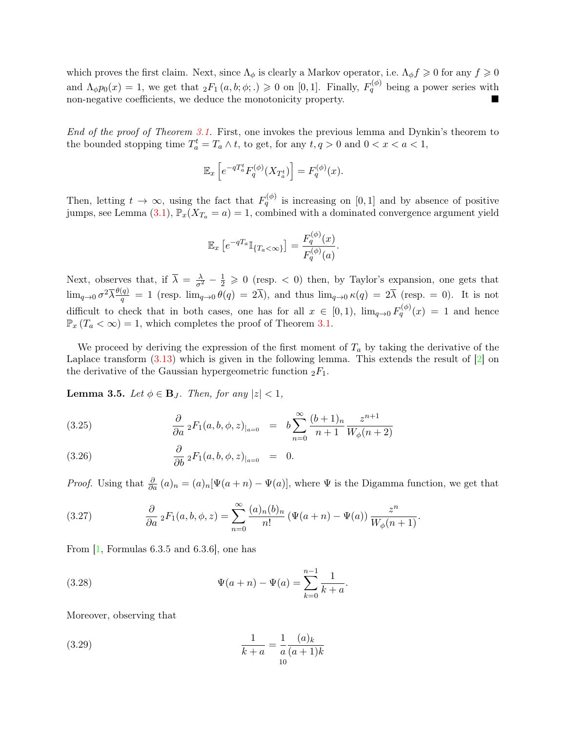which proves the first claim. Next, since  $\Lambda_{\phi}$  is clearly a Markov operator, i.e.  $\Lambda_{\phi} f \geq 0$  for any  $f \geq 0$ and  $\Lambda_{\phi}p_0(x) = 1$ , we get that  $_2F_1(a, b; \phi; .) \geq 0$  on [0, 1]. Finally,  $F_q^{(\phi)}$  being a power series with non-negative coefficients, we deduce the monotonicity property.

End of the proof of Theorem [3.1.](#page-6-0) First, one invokes the previous lemma and Dynkin's theorem to the bounded stopping time  $T_a^t = T_a \wedge t$ , to get, for any  $t, q > 0$  and  $0 < x < a < 1$ ,

$$
\mathbb{E}_x\left[e^{-qT_a^t}F_q^{(\phi)}(X_{T_a^t})\right] = F_q^{(\phi)}(x).
$$

Then, letting  $t \to \infty$ , using the fact that  $F_q^{(\phi)}$  is increasing on [0, 1] and by absence of positive jumps, see Lemma [\(3.1\)](#page-7-0),  $\mathbb{P}_x(X_{T_a} = a) = 1$ , combined with a dominated convergence argument yield

$$
\mathbb{E}_x\left[e^{-qT_a}\mathbb{I}_{\{T_a<\infty\}}\right]=\frac{F_q^{(\phi)}(x)}{F_q^{(\phi)}(a)}.
$$

Next, observes that, if  $\overline{\lambda} = \frac{\lambda}{\sigma^2} - \frac{1}{2} \geqslant 0$  (resp. < 0) then, by Taylor's expansion, one gets that  $\lim_{q\to 0} \sigma^2 \overline{\lambda} \frac{\theta(q)}{q}$  $\frac{q}{q} = 1$  (resp.  $\lim_{q\to 0} \theta(q) = 2\lambda$ ), and thus  $\lim_{q\to 0} \kappa(q) = 2\lambda$  (resp. = 0). It is not difficult to check that in both cases, one has for all  $x \in [0,1)$ ,  $\lim_{q\to 0} F_q^{(\phi)}(x) = 1$  and hence  $\mathbb{P}_x(T_a < \infty) = 1$ , which completes the proof of Theorem [3.1.](#page-6-0)

We proceed by deriving the expression of the first moment of  $T_a$  by taking the derivative of the Laplace transform  $(3.13)$  which is given in the following lemma. This extends the result of  $[2]$  on the derivative of the Gaussian hypergeometric function  ${}_2F_1$ .

<span id="page-9-1"></span>**Lemma 3.5.** Let  $\phi \in \mathbf{B}_J$ . Then, for any  $|z| < 1$ ,

<span id="page-9-0"></span>(3.25) 
$$
\frac{\partial}{\partial a} {}_2F_1(a, b, \phi, z)_{|_{a=0}} = b \sum_{n=0}^{\infty} \frac{(b+1)_n}{n+1} \frac{z^{n+1}}{W_{\phi}(n+2)}
$$

(3.26) 
$$
\frac{\partial}{\partial b} \, {}_2F_1(a, b, \phi, z)_{|_{a=0}} = 0.
$$

*Proof.* Using that  $\frac{\partial}{\partial a}(a)_n = (a)_n[\Psi(a+n) - \Psi(a)]$ , where  $\Psi$  is the Digamma function, we get that

.

(3.27) 
$$
\frac{\partial}{\partial a} {}_2F_1(a,b,\phi,z) = \sum_{n=0}^{\infty} \frac{(a)_n(b)_n}{n!} \left( \Psi(a+n) - \Psi(a) \right) \frac{z^n}{W_{\phi}(n+1)}.
$$

From  $\left[1, \text{Formulas } 6.3.5 \text{ and } 6.3.6\right]$  $\left[1, \text{Formulas } 6.3.5 \text{ and } 6.3.6\right]$  $\left[1, \text{Formulas } 6.3.5 \text{ and } 6.3.6\right]$ , one has

(3.28) 
$$
\Psi(a+n) - \Psi(a) = \sum_{k=0}^{n-1} \frac{1}{k+a}
$$

Moreover, observing that

(3.29) 
$$
\frac{1}{k+a} = \frac{1}{a} \frac{(a)_k}{(a+1)k}
$$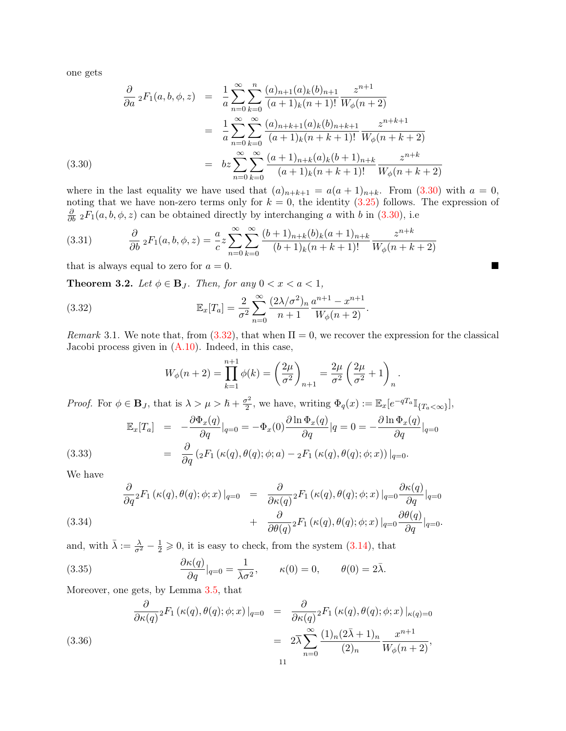one gets

<span id="page-10-0"></span>
$$
\frac{\partial}{\partial a} {}_2F_1(a, b, \phi, z) = \frac{1}{a} \sum_{n=0}^{\infty} \sum_{k=0}^n \frac{(a)_{n+1}(a)_k(b)_{n+1}}{(a+1)_k(n+1)!} \frac{z^{n+1}}{W_{\phi}(n+2)}
$$

$$
= \frac{1}{a} \sum_{n=0}^{\infty} \sum_{k=0}^{\infty} \frac{(a)_{n+k+1}(a)_k(b)_{n+k+1}}{(a+1)_k(n+k+1)!} \frac{z^{n+k+1}}{W_{\phi}(n+k+2)}
$$

$$
= bz \sum_{n=0}^{\infty} \sum_{k=0}^{\infty} \frac{(a+1)_{n+k}(a)_k(b+1)_{n+k}}{(a+1)_k(n+k+1)!} \frac{z^{n+k}}{W_{\phi}(n+k+2)}
$$

where in the last equality we have used that  $(a)_{n+k+1} = a(a+1)_{n+k}$ . From [\(3.30\)](#page-10-0) with  $a = 0$ , noting that we have non-zero terms only for  $k = 0$ , the identity  $(3.25)$  follows. The expression of  $\frac{\partial}{\partial b}$  <sub>2</sub> $F_1(a, b, \phi, z)$  can be obtained directly by interchanging a with b in [\(3.30\)](#page-10-0), i.e

(3.31) 
$$
\frac{\partial}{\partial b} {}_2F_1(a, b, \phi, z) = \frac{a}{c} z \sum_{n=0}^{\infty} \sum_{k=0}^{\infty} \frac{(b+1)_{n+k}(b)_k (a+1)_{n+k}}{(b+1)_k (n+k+1)!} \frac{z^{n+k}}{W_{\phi}(n+k+2)}
$$

that is always equal to zero for  $a = 0$ .

**Theorem 3.2.** Let  $\phi \in \mathbf{B}_J$ . Then, for any  $0 < x < a < 1$ ,

(3.32) 
$$
\mathbb{E}_x[T_a] = \frac{2}{\sigma^2} \sum_{n=0}^{\infty} \frac{(2\lambda/\sigma^2)_n}{n+1} \frac{a^{n+1} - x^{n+1}}{W_{\phi}(n+2)}.
$$

Remark 3.1. We note that, from  $(3.32)$ , that when  $\Pi = 0$ , we recover the expression for the classical Jacobi process given in  $(A.10)$ . Indeed, in this case,

<span id="page-10-1"></span>
$$
W_{\phi}(n+2) = \prod_{k=1}^{n+1} \phi(k) = \left(\frac{2\mu}{\sigma^2}\right)_{n+1} = \frac{2\mu}{\sigma^2} \left(\frac{2\mu}{\sigma^2} + 1\right)_n
$$

.

*Proof.* For  $\phi \in \mathbf{B}_J$ , that is  $\lambda > \mu > \hbar + \frac{\sigma^2}{2}$  $\frac{\sigma^2}{2}$ , we have, writing  $\Phi_q(x) := \mathbb{E}_x[e^{-qT_a}\mathbb{I}_{\{T_a < \infty\}}],$ 

<span id="page-10-2"></span>
$$
\mathbb{E}_x[T_a] = -\frac{\partial \Phi_x(q)}{\partial q}|_{q=0} = -\Phi_x(0)\frac{\partial \ln \Phi_x(q)}{\partial q}|_{q=0} = -\frac{\partial \ln \Phi_x(q)}{\partial q}|_{q=0}
$$
\n
$$
(3.33) = \frac{\partial}{\partial q}(2F_1(\kappa(q), \theta(q); \phi; a) - 2F_1(\kappa(q), \theta(q); \phi; x))|_{q=0}.
$$

We have

<span id="page-10-3"></span>
$$
\frac{\partial}{\partial q}{}_{2}F_{1}(\kappa(q),\theta(q);\phi;x)|_{q=0} = \frac{\partial}{\partial \kappa(q)}{}_{2}F_{1}(\kappa(q),\theta(q);\phi;x)|_{q=0}\frac{\partial \kappa(q)}{\partial q}|_{q=0}
$$
\n
$$
+ \frac{\partial}{\partial \theta(q)}{}_{2}F_{1}(\kappa(q),\theta(q);\phi;x)|_{q=0}\frac{\partial \theta(q)}{\partial q}|_{q=0}.
$$
\n(3.34)

and, with  $\bar{\lambda} := \frac{\lambda}{\sigma^2} - \frac{1}{2} \geqslant 0$ , it is easy to check, from the system [\(3.14\)](#page-6-2), that

(3.35) 
$$
\frac{\partial \kappa(q)}{\partial q}|_{q=0} = \frac{1}{\bar{\lambda}\sigma^2}, \qquad \kappa(0) = 0, \qquad \theta(0) = 2\bar{\lambda}.
$$

Moreover, one gets, by Lemma [3.5,](#page-9-1) that

$$
\frac{\partial}{\partial \kappa(q)}{}_2F_1(\kappa(q),\theta(q);\phi;x)|_{q=0} = \frac{\partial}{\partial \kappa(q)}{}_2F_1(\kappa(q),\theta(q);\phi;x)|_{\kappa(q)=0}
$$
\n
$$
= 2\overline{\lambda} \sum_{n=0}^{\infty} \frac{(1)_n(2\overline{\lambda}+1)_n}{(2)_n} \frac{x^{n+1}}{W_{\phi}(n+2)},
$$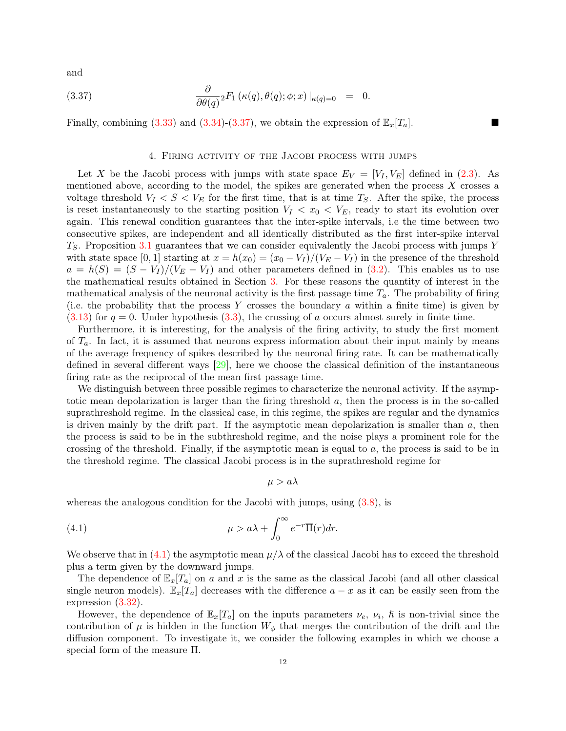and

(3.37) 
$$
\frac{\partial}{\partial \theta(q)}{}_2F_1(\kappa(q), \theta(q); \phi; x)|_{\kappa(q)=0} = 0.
$$

Finally, combining [\(3.33\)](#page-10-2) and [\(3.34\)](#page-10-3)-[\(3.37\)](#page-11-0), we obtain the expression of  $\mathbb{E}_x[T_a]$ .

### <span id="page-11-0"></span>4. Firing activity of the Jacobi process with jumps

Let X be the Jacobi process with jumps with state space  $E_V = [V_I, V_E]$  defined in [\(2.3\)](#page-2-0). As mentioned above, according to the model, the spikes are generated when the process X crosses a voltage threshold  $V_I < S < V_E$  for the first time, that is at time  $T_S$ . After the spike, the process is reset instantaneously to the starting position  $V_I < x_0 < V_E$ , ready to start its evolution over again. This renewal condition guarantees that the inter-spike intervals, i.e the time between two consecutive spikes, are independent and all identically distributed as the first inter-spike interval  $T<sub>S</sub>$ . Proposition [3.1](#page-5-0) guarantees that we can consider equivalently the Jacobi process with jumps Y with state space [0, 1] starting at  $x = h(x_0) = (x_0 - V_I)/(V_E - V_I)$  in the presence of the threshold  $a = h(S) = (S - V_I)/(V_E - V_I)$  and other parameters defined in [\(3.2\)](#page-4-3). This enables us to use the mathematical results obtained in Section [3.](#page-4-4) For these reasons the quantity of interest in the mathematical analysis of the neuronal activity is the first passage time  $T_a$ . The probability of firing (i.e. the probability that the process Y crosses the boundary a within a finite time) is given by  $(3.13)$  for  $q = 0$ . Under hypothesis  $(3.3)$ , the crossing of a occurs almost surely in finite time.

Furthermore, it is interesting, for the analysis of the firing activity, to study the first moment of  $T_a$ . In fact, it is assumed that neurons express information about their input mainly by means of the average frequency of spikes described by the neuronal firing rate. It can be mathematically defined in several different ways  $[29]$ , here we choose the classical definition of the instantaneous firing rate as the reciprocal of the mean first passage time.

We distinguish between three possible regimes to characterize the neuronal activity. If the asymptotic mean depolarization is larger than the firing threshold a, then the process is in the so-called suprathreshold regime. In the classical case, in this regime, the spikes are regular and the dynamics is driven mainly by the drift part. If the asymptotic mean depolarization is smaller than  $a$ , then the process is said to be in the subthreshold regime, and the noise plays a prominent role for the crossing of the threshold. Finally, if the asymptotic mean is equal to a, the process is said to be in the threshold regime. The classical Jacobi process is in the suprathreshold regime for

<span id="page-11-1"></span> $\mu > a\lambda$ 

whereas the analogous condition for the Jacobi with jumps, using  $(3.8)$ , is

(4.1) 
$$
\mu > a\lambda + \int_0^\infty e^{-r} \overline{\Pi}(r) dr.
$$

We observe that in [\(4.1\)](#page-11-1) the asymptotic mean  $\mu/\lambda$  of the classical Jacobi has to exceed the threshold plus a term given by the downward jumps.

The dependence of  $\mathbb{E}_x[T_a]$  on a and x is the same as the classical Jacobi (and all other classical single neuron models).  $\mathbb{E}_x[T_a]$  decreases with the difference  $a - x$  as it can be easily seen from the expression [\(3.32\)](#page-10-1).

However, the dependence of  $\mathbb{E}_x[T_a]$  on the inputs parameters  $\nu_e$ ,  $\nu_i$ ,  $\hbar$  is non-trivial since the contribution of  $\mu$  is hidden in the function  $W_{\phi}$  that merges the contribution of the drift and the diffusion component. To investigate it, we consider the following examples in which we choose a special form of the measure Π.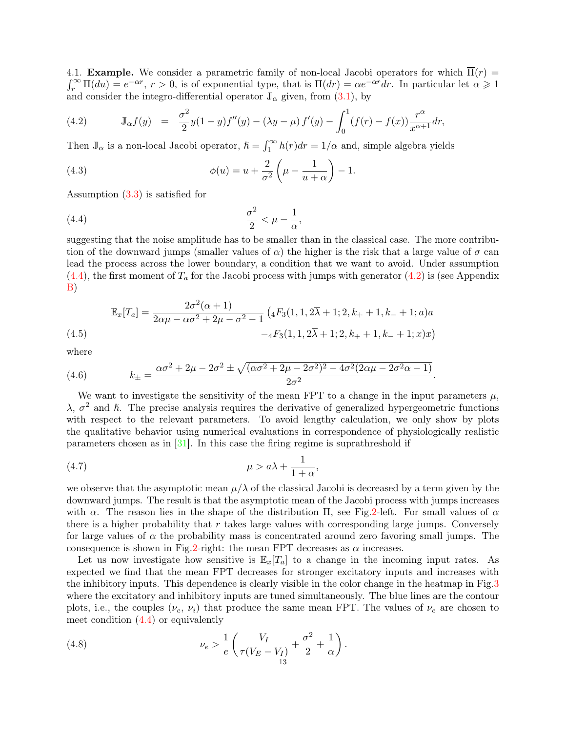<span id="page-12-0"></span> $\int_r^{\infty} \Pi(du) = e^{-\alpha r}$ ,  $r > 0$ , is of exponential type, that is  $\Pi(dr) = \alpha e^{-\alpha r} dr$ . In particular let  $\alpha \geq 1$ 4.1. **Example.** We consider a parametric family of non-local Jacobi operators for which  $\overline{\Pi}(r)$  = and consider the integro-differential operator  $\mathbb{J}_{\alpha}$  given, from [\(3.1\)](#page-4-2), by

<span id="page-12-2"></span>(4.2) 
$$
\mathbb{J}_{\alpha}f(y) = \frac{\sigma^2}{2}y(1-y)f''(y) - (\lambda y - \mu)f'(y) - \int_0^1 (f(r) - f(x))\frac{r^{\alpha}}{x^{\alpha+1}}dr,
$$

Then  $\mathbb{J}_{\alpha}$  is a non-local Jacobi operator,  $\hbar = \int_{1}^{\infty} h(r) dr = 1/\alpha$  and, simple algebra yields

<span id="page-12-5"></span>(4.3) 
$$
\phi(u) = u + \frac{2}{\sigma^2} \left( \mu - \frac{1}{u + \alpha} \right) - 1.
$$

Assumption [\(3.3\)](#page-4-0) is satisfied for

<span id="page-12-1"></span>
$$
\frac{\sigma^2}{2} < \mu - \frac{1}{\alpha},
$$

suggesting that the noise amplitude has to be smaller than in the classical case. The more contribution of the downward jumps (smaller values of  $\alpha$ ) the higher is the risk that a large value of  $\sigma$  can lead the process across the lower boundary, a condition that we want to avoid. Under assumption  $(4.4)$ , the first moment of  $T_a$  for the Jacobi process with jumps with generator  $(4.2)$  is (see Appendix [B\)](#page-17-1)

<span id="page-12-3"></span>
$$
\mathbb{E}_x[T_a] = \frac{2\sigma^2(\alpha+1)}{2\alpha\mu - \alpha\sigma^2 + 2\mu - \sigma^2 - 1} \left( {}_4F_3(1, 1, 2\overline{\lambda} + 1; 2, k_+ + 1, k_- + 1; a) a \right. \\ \left. - {}_4F_3(1, 1, 2\overline{\lambda} + 1; 2, k_+ + 1, k_- + 1; x) x \right)
$$

where

 $(4)$ 

(4.6) 
$$
k_{\pm} = \frac{\alpha \sigma^2 + 2\mu - 2\sigma^2 \pm \sqrt{(\alpha \sigma^2 + 2\mu - 2\sigma^2)^2 - 4\sigma^2 (2\alpha \mu - 2\sigma^2 \alpha - 1)}}{2\sigma^2}
$$

We want to investigate the sensitivity of the mean FPT to a change in the input parameters  $\mu$ ,  $\lambda$ ,  $\sigma^2$  and  $\hbar$ . The precise analysis requires the derivative of generalized hypergeometric functions with respect to the relevant parameters. To avoid lengthy calculation, we only show by plots the qualitative behavior using numerical evaluations in correspondence of physiologically realistic parameters chosen as in [\[31\]](#page-19-3). In this case the firing regime is suprathreshold if

.

$$
\mu > a\lambda + \frac{1}{1+\alpha},
$$

we observe that the asymptotic mean  $\mu/\lambda$  of the classical Jacobi is decreased by a term given by the downward jumps. The result is that the asymptotic mean of the Jacobi process with jumps increases with  $\alpha$ . The reason lies in the shape of the distribution  $\Pi$ , see Fig. 2-left. For small values of  $\alpha$ there is a higher probability that  $r$  takes large values with corresponding large jumps. Conversely for large values of  $\alpha$  the probability mass is concentrated around zero favoring small jumps. The consequence is shown in Fig[.2-](#page-13-0)right: the mean FPT decreases as  $\alpha$  increases.

Let us now investigate how sensitive is  $\mathbb{E}_x[T_a]$  to a change in the incoming input rates. As expected we find that the mean FPT decreases for stronger excitatory inputs and increases with the inhibitory inputs. This dependence is clearly visible in the color change in the heatmap in Fig[.3](#page-13-1) where the excitatory and inhibitory inputs are tuned simultaneously. The blue lines are the contour plots, i.e., the couples  $(\nu_e, \nu_i)$  that produce the same mean FPT. The values of  $\nu_e$  are chosen to meet condition [\(4.4\)](#page-12-1) or equivalently

<span id="page-12-4"></span>(4.8) 
$$
\nu_e > \frac{1}{e} \left( \frac{V_I}{\tau (V_E - V_I)} + \frac{\sigma^2}{2} + \frac{1}{\alpha} \right).
$$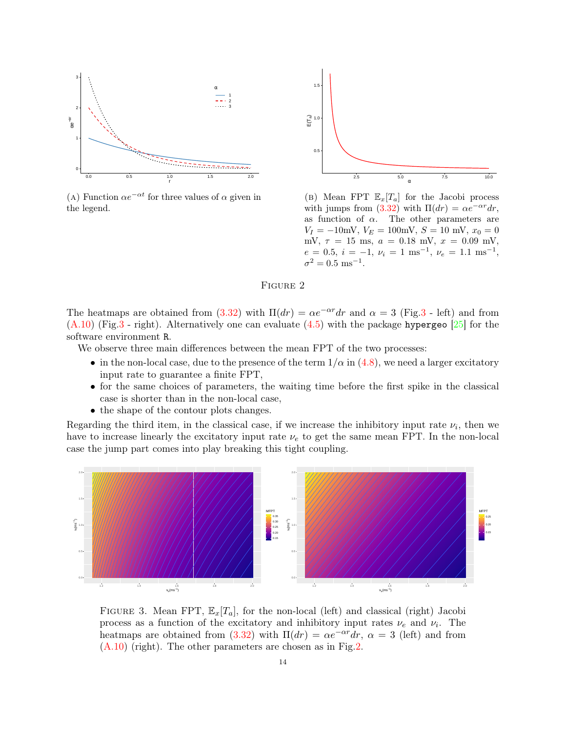<span id="page-13-0"></span>

(A) Function  $\alpha e^{-\alpha t}$  for three values of  $\alpha$  given in the legend.



(b) Mean FPT  $\mathbb{E}_x[T_a]$  for the Jacobi process with jumps from  $(3.32)$  with  $\Pi(dr) = \alpha e^{-\alpha r} dr$ , as function of  $\alpha$ . The other parameters are  $V_I = -10$ mV,  $V_E = 100$ mV,  $S = 10$  mV,  $x_0 = 0$ mV,  $\tau = 15$  ms,  $a = 0.18$  mV,  $x = 0.09$  mV,  $e = 0.5, i = -1, \nu_i = 1 \text{ ms}^{-1}, \nu_e = 1.1 \text{ ms}^{-1},$  $\sigma^2 = 0.5$  ms<sup>-1</sup>.

## Figure 2

The heatmaps are obtained from [\(3.32\)](#page-10-1) with  $\Pi(dr) = \alpha e^{-\alpha r} dr$  and  $\alpha = 3$  (Fig[.3](#page-13-1) - left) and from  $(A.10)$  (Fig[.3](#page-13-1) - right). Alternatively one can evaluate  $(4.5)$  with the package hypergeo [\[25\]](#page-18-21) for the software environment R.

We observe three main differences between the mean FPT of the two processes:

- in the non-local case, due to the presence of the term  $1/\alpha$  in [\(4.8\)](#page-12-4), we need a larger excitatory input rate to guarantee a finite FPT,
- for the same choices of parameters, the waiting time before the first spike in the classical case is shorter than in the non-local case,
- the shape of the contour plots changes.

Regarding the third item, in the classical case, if we increase the inhibitory input rate  $\nu_i$ , then we have to increase linearly the excitatory input rate  $\nu_e$  to get the same mean FPT. In the non-local case the jump part comes into play breaking this tight coupling.

<span id="page-13-1"></span>

FIGURE 3. Mean FPT,  $\mathbb{E}_x[T_a]$ , for the non-local (left) and classical (right) Jacobi process as a function of the excitatory and inhibitory input rates  $\nu_e$  and  $\nu_i$ . The heatmaps are obtained from [\(3.32\)](#page-10-1) with  $\Pi(dr) = \alpha e^{-\alpha r} dr$ ,  $\alpha = 3$  (left) and from  $(A.10)$  (right). The other parameters are chosen as in Fig[.2.](#page-13-0)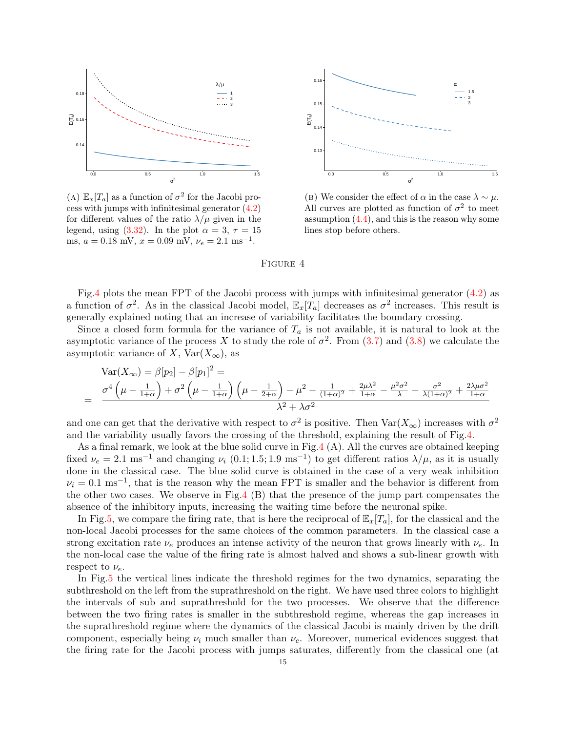<span id="page-14-0"></span>

(A)  $\mathbb{E}_x[T_a]$  as a function of  $\sigma^2$  for the Jacobi process with jumps with infinitesimal generator [\(4.2\)](#page-12-2) for different values of the ratio  $\lambda/\mu$  given in the legend, using [\(3.32\)](#page-10-1). In the plot  $\alpha = 3, \tau = 15$ ms,  $a = 0.18$  mV,  $x = 0.09$  mV,  $\nu_e = 2.1$  ms<sup>-1</sup>.



(B) We consider the effect of  $\alpha$  in the case  $\lambda \sim \mu$ . All curves are plotted as function of  $\sigma^2$  to meet assumption  $(4.4)$ , and this is the reason why some lines stop before others.

#### Figure 4

Fig[.4](#page-14-0) plots the mean FPT of the Jacobi process with jumps with infinitesimal generator [\(4.2\)](#page-12-2) as a function of  $\sigma^2$ . As in the classical Jacobi model,  $\mathbb{E}_x[T_a]$  decreases as  $\sigma^2$  increases. This result is generally explained noting that an increase of variability facilitates the boundary crossing.

Since a closed form formula for the variance of  $T_a$  is not available, it is natural to look at the asymptotic variance of the process X to study the role of  $\sigma^2$ . From [\(3.7\)](#page-5-3) and [\(3.8\)](#page-5-2) we calculate the asymptotic variance of X,  $Var(X_\infty)$ , as

$$
\begin{split} \text{Var}(X_{\infty}) &= \beta[p_2] - \beta[p_1]^2 = \\ &= \frac{\sigma^4 \left(\mu - \frac{1}{1+\alpha}\right) + \sigma^2 \left(\mu - \frac{1}{1+\alpha}\right) \left(\mu - \frac{1}{2+\alpha}\right) - \mu^2 - \frac{1}{(1+\alpha)^2} + \frac{2\mu\lambda^2}{1+\alpha} - \frac{\mu^2 \sigma^2}{\lambda} - \frac{\sigma^2}{\lambda(1+\alpha)^2} + \frac{2\lambda\mu\sigma^2}{1+\alpha}}{\lambda^2 + \lambda\sigma^2} \end{split}
$$

and one can get that the derivative with respect to  $\sigma^2$  is positive. Then  $\text{Var}(X_\infty)$  increases with  $\sigma^2$ and the variability usually favors the crossing of the threshold, explaining the result of Fig[.4.](#page-14-0)

As a final remark, we look at the blue solid curve in Fig[.4](#page-14-0) (A). All the curves are obtained keeping fixed  $\nu_e = 2.1 \text{ ms}^{-1}$  and changing  $\nu_i$  (0.1; 1.5; 1.9 ms<sup>-1</sup>) to get different ratios  $\lambda/\mu$ , as it is usually done in the classical case. The blue solid curve is obtained in the case of a very weak inhibition  $\nu_i = 0.1 \text{ ms}^{-1}$ , that is the reason why the mean FPT is smaller and the behavior is different from the other two cases. We observe in Fig[.4](#page-14-0) (B) that the presence of the jump part compensates the absence of the inhibitory inputs, increasing the waiting time before the neuronal spike.

In Fig[.5,](#page-15-0) we compare the firing rate, that is here the reciprocal of  $\mathbb{E}_x[T_a]$ , for the classical and the non-local Jacobi processes for the same choices of the common parameters. In the classical case a strong excitation rate  $\nu_e$  produces an intense activity of the neuron that grows linearly with  $\nu_e$ . In the non-local case the value of the firing rate is almost halved and shows a sub-linear growth with respect to  $\nu_e$ .

In Fig[.5](#page-15-0) the vertical lines indicate the threshold regimes for the two dynamics, separating the subthreshold on the left from the suprathreshold on the right. We have used three colors to highlight the intervals of sub and suprathreshold for the two processes. We observe that the difference between the two firing rates is smaller in the subthreshold regime, whereas the gap increases in the suprathreshold regime where the dynamics of the classical Jacobi is mainly driven by the drift component, especially being  $\nu_i$  much smaller than  $\nu_e$ . Moreover, numerical evidences suggest that the firing rate for the Jacobi process with jumps saturates, differently from the classical one (at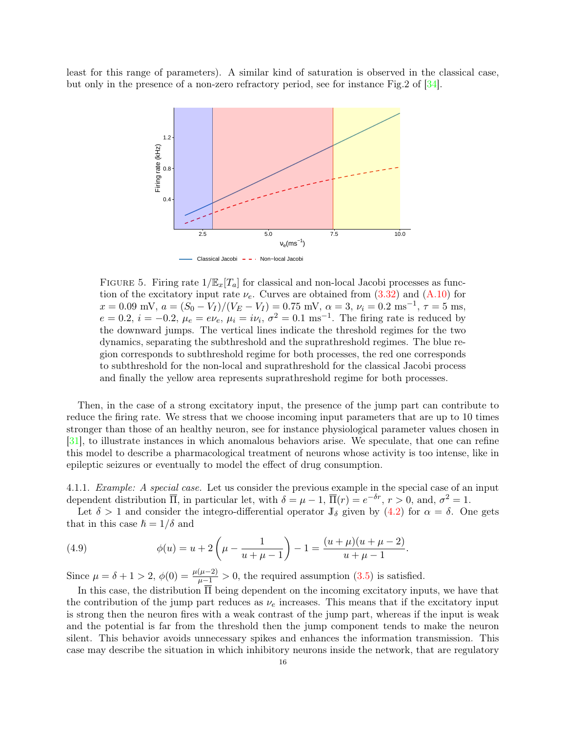<span id="page-15-0"></span>least for this range of parameters). A similar kind of saturation is observed in the classical case, but only in the presence of a non-zero refractory period, see for instance Fig.2 of [\[34\]](#page-19-16).



FIGURE 5. Firing rate  $1/\mathbb{E}_x[T_a]$  for classical and non-local Jacobi processes as function of the excitatory input rate  $\nu_e$ . Curves are obtained from [\(3.32\)](#page-10-1) and [\(A.10\)](#page-17-0) for  $x = 0.09$  mV,  $a = (S_0 - V_I)/(V_E - V_I) = 0.75$  mV,  $\alpha = 3$ ,  $\nu_i = 0.2$  ms<sup>-1</sup>,  $\tau = 5$  ms,  $e = 0.2$ ,  $i = -0.2$ ,  $\mu_e = e\nu_e$ ,  $\mu_i = i\nu_i$ ,  $\sigma^2 = 0.1$  ms<sup>-1</sup>. The firing rate is reduced by the downward jumps. The vertical lines indicate the threshold regimes for the two dynamics, separating the subthreshold and the suprathreshold regimes. The blue region corresponds to subthreshold regime for both processes, the red one corresponds to subthreshold for the non-local and suprathreshold for the classical Jacobi process and finally the yellow area represents suprathreshold regime for both processes.

Then, in the case of a strong excitatory input, the presence of the jump part can contribute to reduce the firing rate. We stress that we choose incoming input parameters that are up to 10 times stronger than those of an healthy neuron, see for instance physiological parameter values chosen in [\[31\]](#page-19-3), to illustrate instances in which anomalous behaviors arise. We speculate, that one can refine this model to describe a pharmacological treatment of neurons whose activity is too intense, like in epileptic seizures or eventually to model the effect of drug consumption.

4.1.1. Example: A special case. Let us consider the previous example in the special case of an input dependent distribution  $\overline{\Pi}$ , in particular let, with  $\delta = \mu - 1$ ,  $\overline{\Pi}(r) = e^{-\delta r}$ ,  $r > 0$ , and,  $\sigma^2 = 1$ .

Let  $\delta > 1$  and consider the integro-differential operator  $\mathbb{J}_{\delta}$  given by  $(4.2)$  for  $\alpha = \delta$ . One gets that in this case  $\hbar = 1/\delta$  and

(4.9) 
$$
\phi(u) = u + 2\left(\mu - \frac{1}{u + \mu - 1}\right) - 1 = \frac{(u + \mu)(u + \mu - 2)}{u + \mu - 1}.
$$

Since  $\mu = \delta + 1 > 2$ ,  $\phi(0) = \frac{\mu(\mu - 2)}{\mu - 1} > 0$ , the required assumption [\(3.5\)](#page-4-5) is satisfied.

In this case, the distribution Π being dependent on the incoming excitatory inputs, we have that the contribution of the jump part reduces as  $\nu_e$  increases. This means that if the excitatory input is strong then the neuron fires with a weak contrast of the jump part, whereas if the input is weak and the potential is far from the threshold then the jump component tends to make the neuron silent. This behavior avoids unnecessary spikes and enhances the information transmission. This case may describe the situation in which inhibitory neurons inside the network, that are regulatory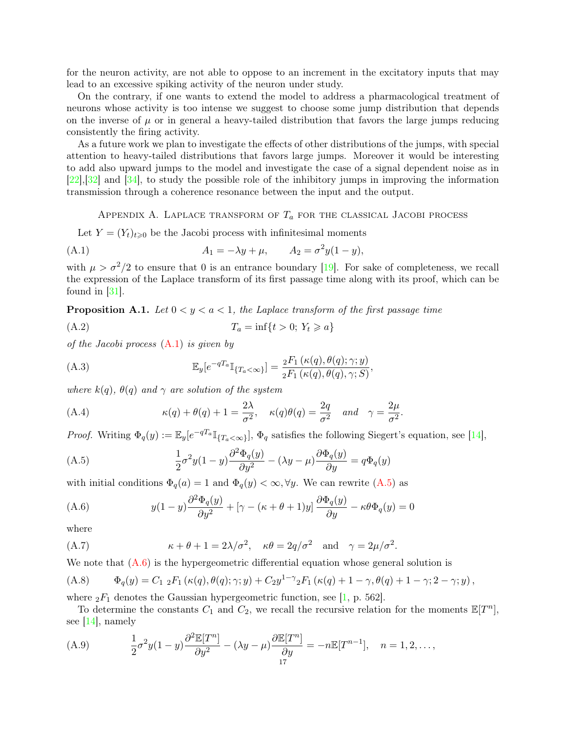for the neuron activity, are not able to oppose to an increment in the excitatory inputs that may lead to an excessive spiking activity of the neuron under study.

On the contrary, if one wants to extend the model to address a pharmacological treatment of neurons whose activity is too intense we suggest to choose some jump distribution that depends on the inverse of  $\mu$  or in general a heavy-tailed distribution that favors the large jumps reducing consistently the firing activity.

As a future work we plan to investigate the effects of other distributions of the jumps, with special attention to heavy-tailed distributions that favors large jumps. Moreover it would be interesting to add also upward jumps to the model and investigate the case of a signal dependent noise as in [\[22\]](#page-18-22),[\[32\]](#page-19-17) and [\[34\]](#page-19-16), to study the possible role of the inhibitory jumps in improving the information transmission through a coherence resonance between the input and the output.

<span id="page-16-1"></span>APPENDIX A. LAPLACE TRANSFORM OF  $T_a$  for the classical Jacobi process

<span id="page-16-0"></span>Let  $Y = (Y_t)_{t \geq 0}$  be the Jacobi process with infinitesimal moments

(A.1) 
$$
A_1 = -\lambda y + \mu
$$
,  $A_2 = \sigma^2 y (1 - y)$ ,

with  $\mu > \sigma^2/2$  to ensure that 0 is an entrance boundary [\[19\]](#page-18-23). For sake of completeness, we recall the expression of the Laplace transform of its first passage time along with its proof, which can be found in [\[31\]](#page-19-3).

**Proposition A.1.** Let  $0 \le y \le a \le 1$ , the Laplace transform of the first passage time

$$
(A.2) \t\t T_a = \inf\{t > 0; Y_t \geqslant a\}
$$

of the Jacobi process [\(A.1\)](#page-16-1) is given by

<span id="page-16-5"></span>(A.3) 
$$
\mathbb{E}_y[e^{-qT_a}\mathbb{I}_{\{T_a<\infty\}}] = \frac{{}_2F_1(\kappa(q),\theta(q);\gamma;y)}{{}_2F_1(\kappa(q),\theta(q),\gamma;S)},
$$

where  $k(q)$ ,  $\theta(q)$  and  $\gamma$  are solution of the system

(A.4) 
$$
\kappa(q) + \theta(q) + 1 = \frac{2\lambda}{\sigma^2}, \quad \kappa(q)\theta(q) = \frac{2q}{\sigma^2} \quad and \quad \gamma = \frac{2\mu}{\sigma^2}.
$$

*Proof.* Writing  $\Phi_q(y) := \mathbb{E}_y[e^{-qT_a}\mathbb{I}_{\{T_a < \infty\}}], \Phi_q$  satisfies the following Siegert's equation, see [\[14\]](#page-18-24),

<span id="page-16-2"></span>(A.5) 
$$
\frac{1}{2}\sigma^2 y(1-y)\frac{\partial^2 \Phi_q(y)}{\partial y^2} - (\lambda y - \mu)\frac{\partial \Phi_q(y)}{\partial y} = q\Phi_q(y)
$$

with initial conditions  $\Phi_q(a) = 1$  and  $\Phi_q(y) < \infty, \forall y$ . We can rewrite [\(A.5\)](#page-16-2) as

<span id="page-16-3"></span>(A.6) 
$$
y(1-y)\frac{\partial^2 \Phi_q(y)}{\partial y^2} + \left[\gamma - (\kappa + \theta + 1)y\right]\frac{\partial \Phi_q(y)}{\partial y} - \kappa \theta \Phi_q(y) = 0
$$

where

(A.7) 
$$
\kappa + \theta + 1 = 2\lambda/\sigma^2
$$
,  $\kappa\theta = 2q/\sigma^2$  and  $\gamma = 2\mu/\sigma^2$ .

We note that  $(A.6)$  is the hypergeometric differential equation whose general solution is

<span id="page-16-4"></span>(A.8) 
$$
\Phi_q(y) = C_{1,2} F_1(\kappa(q), \theta(q); \gamma; y) + C_2 y^{1-\gamma} {}_2F_1(\kappa(q) + 1 - \gamma, \theta(q) + 1 - \gamma; 2 - \gamma; y),
$$

where  ${}_2F_1$  denotes the Gaussian hypergeometric function, see [\[1,](#page-18-20) p. 562].

To determine the constants  $C_1$  and  $C_2$ , we recall the recursive relation for the moments  $\mathbb{E}[T^n]$ , see [\[14\]](#page-18-24), namely

(A.9) 
$$
\frac{1}{2}\sigma^2 y (1-y) \frac{\partial^2 \mathbb{E}[T^n]}{\partial y^2} - (\lambda y - \mu) \frac{\partial \mathbb{E}[T^n]}{\partial y} = -n \mathbb{E}[T^{n-1}], \quad n = 1, 2, ...,
$$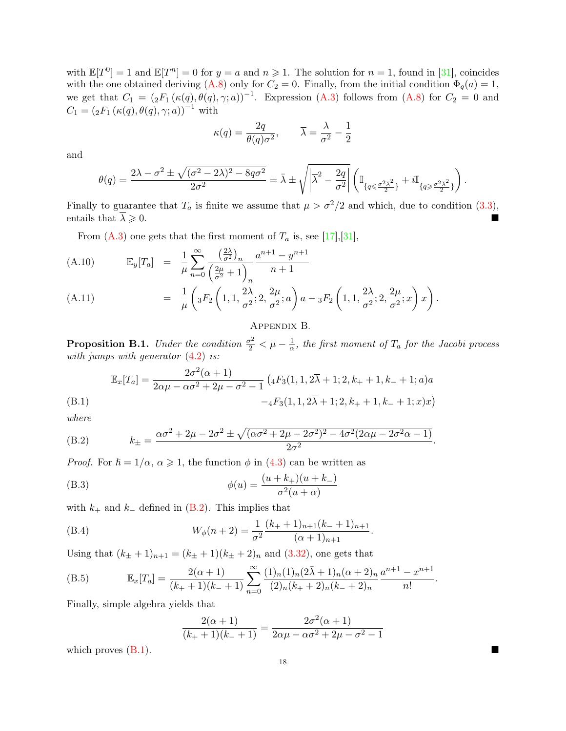with  $\mathbb{E}[T^0] = 1$  and  $\mathbb{E}[T^n] = 0$  for  $y = a$  and  $n \ge 1$ . The solution for  $n = 1$ , found in [\[31\]](#page-19-3), coincides with the one obtained deriving [\(A.8\)](#page-16-4) only for  $C_2 = 0$ . Finally, from the initial condition  $\Phi_q(a) = 1$ , we get that  $C_1 = ({}_2F_1(\kappa(q), \theta(q), \gamma; a))^{-1}$ . Expression [\(A.3\)](#page-16-5) follows from [\(A.8\)](#page-16-4) for  $C_2 = 0$  and  $C_1 = ({}_2F_1(\kappa(q), \theta(q), \gamma; a))^{-1}$  with

<span id="page-17-0"></span>
$$
\kappa(q) = \frac{2q}{\theta(q)\sigma^2}, \qquad \overline{\lambda} = \frac{\lambda}{\sigma^2} - \frac{1}{2}
$$

and

$$
\theta(q) = \frac{2\lambda - \sigma^2 \pm \sqrt{(\sigma^2 - 2\lambda)^2 - 8q\sigma^2}}{2\sigma^2} = \bar{\lambda} \pm \sqrt{\left|\bar{\lambda}^2 - \frac{2q}{\sigma^2}\right|} \left(\mathbb{I}_{\{q \leq \frac{\sigma^2 \bar{\lambda}^2}{2}\}} + i\mathbb{I}_{\{q \geq \frac{\sigma^2 \bar{\lambda}^2}{2}\}}\right).
$$

Finally to guarantee that  $T_a$  is finite we assume that  $\mu > \sigma^2/2$  and which, due to condition [\(3.3\)](#page-4-0), entails that  $\overline{\lambda} \geqslant 0$ .

From  $(A.3)$  one gets that the first moment of  $T_a$  is, see [\[17\]](#page-18-3), [\[31\]](#page-19-3),

(A.10) 
$$
\mathbb{E}_{y}[T_{a}] = \frac{1}{\mu} \sum_{n=0}^{\infty} \frac{\left(\frac{2\lambda}{\sigma^{2}}\right)_{n}}{\left(\frac{2\mu}{\sigma^{2}} + 1\right)_{n}} \frac{a^{n+1} - y^{n+1}}{n+1}
$$
\n(A.11) 
$$
= \frac{1}{\mu} \left(\frac{E}{\sigma^{2}} \left(1 + \frac{2\lambda}{\sigma^{2}} + \frac{2\mu}{\sigma^{2}}\right)_{n} e^{-\frac{E}{\sigma^{2}} \left(1 + \frac{2\lambda}{\sigma^{2}} + \frac{2\mu}{\sigma^{2}}\right)} e^{-\frac{E}{\sigma^{2}} \left(1 + \frac{2\lambda}{\sigma^{2}} + \frac{2\mu}{\sigma^{2}}\right)} e^{-\frac{E}{\sigma^{2}} \left(1 + \frac{2\lambda}{\sigma^{2}} + \frac{2\mu}{\sigma^{2}}\right)} e^{-\frac{E}{\sigma^{2}} \left(1 + \frac{2\lambda}{\sigma^{2}} + \frac{2\mu}{\sigma^{2}}\right)} e^{-\frac{E}{\sigma^{2}} \left(1 + \frac{2\lambda}{\sigma^{2}} + \frac{2\mu}{\sigma^{2}}\right)} e^{-\frac{E}{\sigma^{2}} \left(1 + \frac{2\lambda}{\sigma^{2}} + \frac{2\mu}{\sigma^{2}}\right)} e^{-\frac{E}{\sigma^{2}} \left(1 + \frac{2\lambda}{\sigma^{2}} + \frac{2\mu}{\sigma^{2}}\right)} e^{-\frac{E}{\sigma^{2}} \left(1 + \frac{2\lambda}{\sigma^{2}} + \frac{2\mu}{\sigma^{2}}\right)} e^{-\frac{E}{\sigma^{2}} \left(1 + \frac{2\lambda}{\sigma^{2}} + \frac{2\mu}{\sigma^{2}}\right)} e^{-\frac{E}{\sigma^{2}} \left(1 + \frac{2\lambda}{\sigma^{2}} + \frac{2\mu}{\sigma^{2}}\right)} e^{-\frac{E}{\sigma^{2}} \left(1 + \frac{2\lambda}{\sigma^{2}} + \frac{2\mu}{\sigma^{2}}\right)} e^{-\frac{E}{\sigma^{2}} \left(1 + \frac{2\lambda}{\sigma^{2}} + \frac{2\mu}{\sigma^{2}}\right)} e^{-\frac{E}{\sigma^{2}} \left(1 + \frac{2\lambda}{\sigma^{2}} + \frac{2\mu}{\sigma^{2}}\right)}
$$

(A.11) 
$$
= \frac{1}{\mu} \left( {}_{3}F_{2} \left( 1, 1, \frac{2\lambda}{\sigma^{2}}; 2, \frac{2\mu}{\sigma^{2}}; a \right) a - {}_{3}F_{2} \left( 1, 1, \frac{2\lambda}{\sigma^{2}}; 2, \frac{2\mu}{\sigma^{2}}; x \right) x \right).
$$

## Appendix B.

<span id="page-17-1"></span>**Proposition B.1.** Under the condition  $\frac{\sigma^2}{2} < \mu - \frac{1}{\alpha}$  $\frac{1}{\alpha}$ , the first moment of  $T_a$  for the Jacobi process with jumps with generator  $(4.2)$  is:

<span id="page-17-3"></span>
$$
\mathbb{E}_x[T_a] = \frac{2\sigma^2(\alpha+1)}{2\alpha\mu - \alpha\sigma^2 + 2\mu - \sigma^2 - 1} \left( {}_4F_3(1, 1, 2\overline{\lambda} + 1; 2, k_+ + 1, k_- + 1; a) a \right)
$$
\n(B.1)  
\n
$$
- {}_4F_3(1, 1, 2\overline{\lambda} + 1; 2, k_+ + 1, k_- + 1; x)x
$$

where

<span id="page-17-2"></span>(B.2) 
$$
k_{\pm} = \frac{\alpha \sigma^2 + 2\mu - 2\sigma^2 \pm \sqrt{(\alpha \sigma^2 + 2\mu - 2\sigma^2)^2 - 4\sigma^2 (2\alpha \mu - 2\sigma^2 \alpha - 1)}}{2\sigma^2}
$$

*Proof.* For  $h = 1/\alpha$ ,  $\alpha \ge 1$ , the function  $\phi$  in [\(4.3\)](#page-12-5) can be written as

(B.3) 
$$
\phi(u) = \frac{(u+k_+)(u+k_-)}{\sigma^2(u+\alpha)}
$$

with  $k_+$  and  $k_-$  defined in [\(B.2\)](#page-17-2). This implies that

(B.4) 
$$
W_{\phi}(n+2) = \frac{1}{\sigma^2} \frac{(k_{+}+1)_{n+1}(k_{-}+1)_{n+1}}{(\alpha+1)_{n+1}}.
$$

Using that  $(k_{\pm} + 1)_{n+1} = (k_{\pm} + 1)(k_{\pm} + 2)_n$  and  $(3.32)$ , one gets that

(B.5) 
$$
\mathbb{E}_x[T_a] = \frac{2(\alpha+1)}{(k_+ + 1)(k_- + 1)} \sum_{n=0}^{\infty} \frac{(1)_n (1)_n (2\bar{\lambda}+1)_n (\alpha+2)_n}{(2)_n (k_+ + 2)_n (k_- + 2)_n} \frac{a^{n+1} - x^{n+1}}{n!}.
$$

Finally, simple algebra yields that

$$
\frac{2(\alpha+1)}{(k_{+}+1)(k_{-}+1)} = \frac{2\sigma^{2}(\alpha+1)}{2\alpha\mu - \alpha\sigma^{2} + 2\mu - \sigma^{2} - 1}
$$

which proves  $(B.1)$ .

.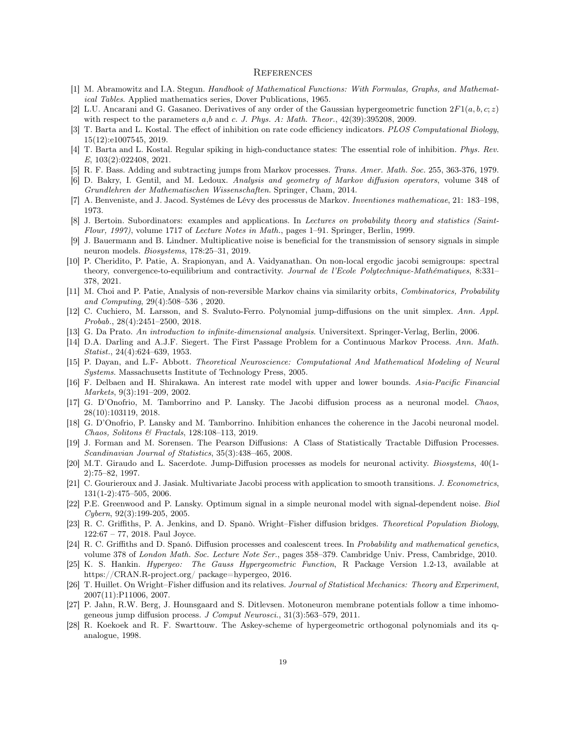#### **REFERENCES**

- <span id="page-18-20"></span>[1] M. Abramowitz and I.A. Stegun. Handbook of Mathematical Functions: With Formulas, Graphs, and Mathematical Tables. Applied mathematics series, Dover Publications, 1965.
- <span id="page-18-19"></span>[2] L.U. Ancarani and G. Gasaneo. Derivatives of any order of the Gaussian hypergeometric function  $2F1(a, b, c; z)$ with respect to the parameters a,b and c. J. Phys. A: Math. Theor.,  $42(39):395208, 2009$ .
- <span id="page-18-13"></span>[3] T. Barta and L. Kostal. The effect of inhibition on rate code efficiency indicators. PLOS Computational Biology, 15(12):e1007545, 2019.
- <span id="page-18-14"></span>[4] T. Barta and L. Kostal. Regular spiking in high-conductance states: The essential role of inhibition. Phys. Rev. E, 103(2):022408, 2021.
- <span id="page-18-12"></span>[5] R. F. Bass. Adding and subtracting jumps from Markov processes. Trans. Amer. Math. Soc. 255, 363-376, 1979.
- <span id="page-18-16"></span>[6] D. Bakry, I. Gentil, and M. Ledoux. Analysis and geometry of Markov diffusion operators, volume 348 of Grundlehren der Mathematischen Wissenschaften. Springer, Cham, 2014.
- <span id="page-18-18"></span>[7] A. Benveniste, and J. Jacod. Systémes de Lévy des processus de Markov. Inventiones mathematicae, 21: 183–198, 1973.
- [8] J. Bertoin. Subordinators: examples and applications. In Lectures on probability theory and statistics (Saint-Flour, 1997), volume 1717 of Lecture Notes in Math., pages 1–91. Springer, Berlin, 1999.
- <span id="page-18-2"></span>[9] J. Bauermann and B. Lindner. Multiplicative noise is beneficial for the transmission of sensory signals in simple neuron models. Biosystems, 178:25–31, 2019.
- <span id="page-18-0"></span>[10] P. Cheridito, P. Patie, A. Srapionyan, and A. Vaidyanathan. On non-local ergodic jacobi semigroups: spectral theory, convergence-to-equilibrium and contractivity. Journal de l'Ecole Polytechnique-Mathématiques, 8:331-378, 2021.
- <span id="page-18-6"></span>[11] M. Choi and P. Patie, Analysis of non-reversible Markov chains via similarity orbits, Combinatorics, Probability and Computing, 29(4):508–536 , 2020.
- [12] C. Cuchiero, M. Larsson, and S. Svaluto-Ferro. Polynomial jump-diffusions on the unit simplex. Ann. Appl. Probab., 28(4):2451–2500, 2018.
- <span id="page-18-17"></span>[13] G. Da Prato. An introduction to infinite-dimensional analysis. Universitext. Springer-Verlag, Berlin, 2006.
- <span id="page-18-24"></span>[14] D.A. Darling and A.J.F. Siegert. The First Passage Problem for a Continuous Markov Process. Ann. Math. Statist., 24(4):624–639, 1953.
- <span id="page-18-1"></span>[15] P. Dayan, and L.F- Abbott. Theoretical Neuroscience: Computational And Mathematical Modeling of Neural Systems. Massachusetts Institute of Technology Press, 2005.
- <span id="page-18-10"></span>[16] F. Delbaen and H. Shirakawa. An interest rate model with upper and lower bounds. Asia-Pacific Financial Markets, 9(3):191–209, 2002.
- <span id="page-18-3"></span>[17] G. D'Onofrio, M. Tamborrino and P. Lansky. The Jacobi diffusion process as a neuronal model. Chaos, 28(10):103119, 2018.
- <span id="page-18-15"></span>[18] G. D'Onofrio, P. Lansky and M. Tamborrino. Inhibition enhances the coherence in the Jacobi neuronal model. Chaos, Solitons & Fractals, 128:108–113, 2019.
- <span id="page-18-23"></span>[19] J. Forman and M. Sorensen. The Pearson Diffusions: A Class of Statistically Tractable Diffusion Processes. Scandinavian Journal of Statistics, 35(3):438–465, 2008.
- <span id="page-18-4"></span>[20] M.T. Giraudo and L. Sacerdote. Jump-Diffusion processes as models for neuronal activity. Biosystems, 40(1- 2):75–82, 1997.
- <span id="page-18-11"></span>[21] C. Gourieroux and J. Jasiak. Multivariate Jacobi process with application to smooth transitions. J. Econometrics, 131(1-2):475–505, 2006.
- <span id="page-18-22"></span>[22] P.E. Greenwood and P. Lansky. Optimum signal in a simple neuronal model with signal-dependent noise. Biol Cybern, 92(3):199-205, 2005.
- <span id="page-18-8"></span>[23] R. C. Griffiths, P. A. Jenkins, and D. Spanò. Wright–Fisher diffusion bridges. Theoretical Population Biology, 122:67 – 77, 2018. Paul Joyce.
- <span id="page-18-7"></span>[24] R. C. Griffiths and D. Spanó. Diffusion processes and coalescent trees. In Probability and mathematical genetics, volume 378 of London Math. Soc. Lecture Note Ser., pages 358–379. Cambridge Univ. Press, Cambridge, 2010.
- <span id="page-18-21"></span>[25] K. S. Hankin. Hypergeo: The Gauss Hypergeometric Function, R Package Version 1.2-13, available at https://CRAN.R-project.org/ package=hypergeo, 2016.
- <span id="page-18-9"></span>[26] T. Huillet. On Wright–Fisher diffusion and its relatives. Journal of Statistical Mechanics: Theory and Experiment, 2007(11):P11006, 2007.
- <span id="page-18-5"></span>[27] P. Jahn, R.W. Berg, J. Hounsgaard and S. Ditlevsen. Motoneuron membrane potentials follow a time inhomogeneous jump diffusion process. J Comput Neurosci., 31(3):563–579, 2011.
- [28] R. Koekoek and R. F. Swarttouw. The Askey-scheme of hypergeometric orthogonal polynomials and its qanalogue, 1998.